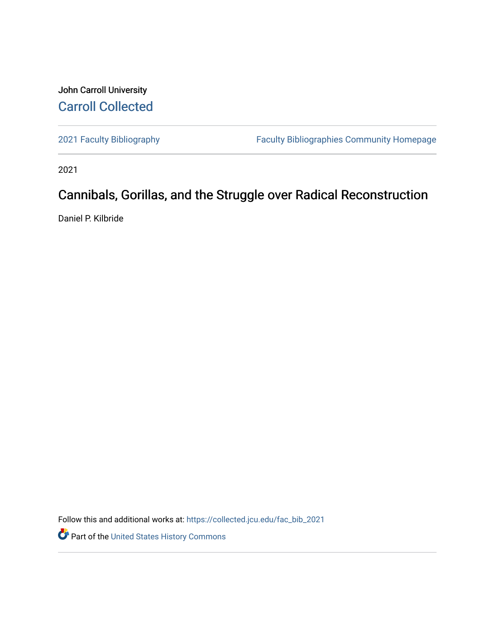## John Carroll University [Carroll Collected](https://collected.jcu.edu/)

[2021 Faculty Bibliography](https://collected.jcu.edu/fac_bib_2021) [Faculty Bibliographies Community Homepage](https://collected.jcu.edu/fac_bib_home) 

2021

## Cannibals, Gorillas, and the Struggle over Radical Reconstruction

Daniel P. Kilbride

Follow this and additional works at: [https://collected.jcu.edu/fac\\_bib\\_2021](https://collected.jcu.edu/fac_bib_2021?utm_source=collected.jcu.edu%2Ffac_bib_2021%2F33&utm_medium=PDF&utm_campaign=PDFCoverPages) 

Part of the [United States History Commons](https://network.bepress.com/hgg/discipline/495?utm_source=collected.jcu.edu%2Ffac_bib_2021%2F33&utm_medium=PDF&utm_campaign=PDFCoverPages)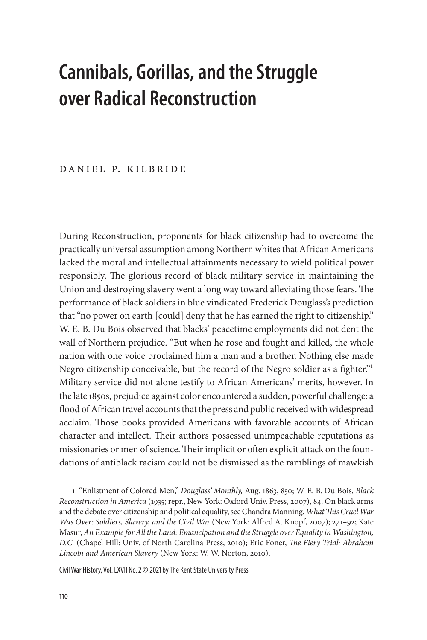## **Cannibals, Gorillas, and the Struggle over Radical Reconstruction**

## DANIEL P. KILBRIDE

During Reconstruction, proponents for black citizenship had to overcome the practically universal assumption among Northern whites that African Americans lacked the moral and intellectual attainments necessary to wield political power responsibly. The glorious record of black military service in maintaining the Union and destroying slavery went a long way toward alleviating those fears. The performance of black soldiers in blue vindicated Frederick Douglass's prediction that "no power on earth [could] deny that he has earned the right to citizenship." W. E. B. Du Bois observed that blacks' peacetime employments did not dent the wall of Northern prejudice. "But when he rose and fought and killed, the whole nation with one voice proclaimed him a man and a brother. Nothing else made Negro citizenship conceivable, but the record of the Negro soldier as a fighter."1 Military service did not alone testify to African Americans' merits, however. In the late 1850s, prejudice against color encountered a sudden, powerful challenge: a flood of African travel accounts that the press and public received with widespread acclaim. Those books provided Americans with favorable accounts of African character and intellect. Their authors possessed unimpeachable reputations as missionaries or men of science. Their implicit or often explicit attack on the foundations of antiblack racism could not be dismissed as the ramblings of mawkish

1. "Enlistment of Colored Men," *Douglass' Monthly,* Aug. 1863, 850; W. E. B. Du Bois, *Black Reconstruction in America* (1935; repr., New York: Oxford Univ. Press, 2007), 84. On black arms and the debate over citizenship and political equality, see Chandra Manning, *What This Cruel War Was Over: Soldiers, Slavery, and the Civil War* (New York: Alfred A. Knopf, 2007); 271–92; Kate Masur, *An Example for All the Land: Emancipation and the Struggle over Equality in Washington, D.C.* (Chapel Hill: Univ. of North Carolina Press, 2010); Eric Foner, *The Fiery Trial: Abraham Lincoln and American Slavery* (New York: W. W. Norton, 2010).

Civil War History, Vol. LXVII No. 2 © 2021 by The Kent State University Press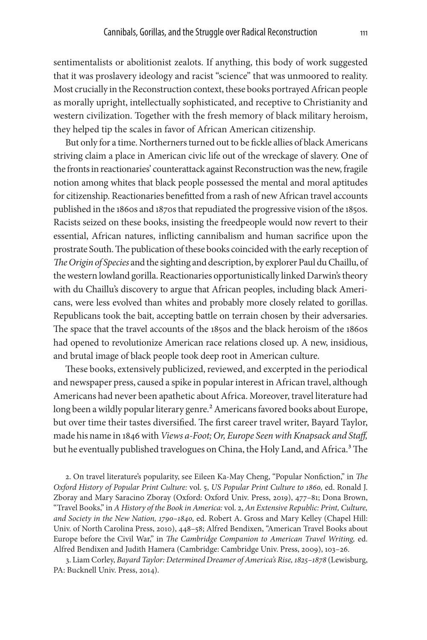sentimentalists or abolitionist zealots. If anything, this body of work suggested that it was proslavery ideology and racist "science" that was unmoored to reality. Most crucially in the Reconstruction context, these books portrayed African people as morally upright, intellectually sophisticated, and receptive to Christianity and western civilization. Together with the fresh memory of black military heroism, they helped tip the scales in favor of African American citizenship.

But only for a time. Northerners turned out to be fickle allies of black Americans striving claim a place in American civic life out of the wreckage of slavery. One of the fronts in reactionaries' counterattack against Reconstruction was the new, fragile notion among whites that black people possessed the mental and moral aptitudes for citizenship. Reactionaries benefitted from a rash of new African travel accounts published in the 1860s and 1870s that repudiated the progressive vision of the 1850s. Racists seized on these books, insisting the freedpeople would now revert to their essential, African natures, inflicting cannibalism and human sacrifice upon the prostrate South. The publication of these books coincided with the early reception of *TheOrigin of Species* and the sighting and description, by explorer Paul du Chaillu, of the western lowland gorilla. Reactionaries opportunistically linked Darwin's theory with du Chaillu's discovery to argue that African peoples, including black Americans, were less evolved than whites and probably more closely related to gorillas. Republicans took the bait, accepting battle on terrain chosen by their adversaries. The space that the travel accounts of the 1850s and the black heroism of the 1860s had opened to revolutionize American race relations closed up. A new, insidious, and brutal image of black people took deep root in American culture.

These books, extensively publicized, reviewed, and excerpted in the periodical and newspaper press, caused a spike in popular interest in African travel, although Americans had never been apathetic about Africa. Moreover, travel literature had long been a wildly popular literary genre.<sup>2</sup> Americans favored books about Europe, but over time their tastes diversified. The first career travel writer, Bayard Taylor, made his name in 1846 with *Views a-Foot; Or, Europe Seen with Knapsack and Staff,* but he eventually published travelogues on China, the Holy Land, and Africa.<sup>3</sup> The

2. On travel literature's popularity, see Eileen Ka-May Cheng, "Popular Nonfiction," in *The Oxford History of Popular Print Culture:* vol. 5, *US Popular Print Culture to 1860,* ed. Ronald J. Zboray and Mary Saracino Zboray (Oxford: Oxford Univ. Press, 2019), 477–81; Dona Brown, "Travel Books," in *A History of the Book in America:* vol. 2, *An Extensive Republic: Print, Culture, and Society in the New Nation, 1790–1840,* ed. Robert A. Gross and Mary Kelley (Chapel Hill: Univ. of North Carolina Press, 2010), 448–58; Alfred Bendixen, "American Travel Books about Europe before the Civil War," in *The Cambridge Companion to American Travel Writing,* ed. Alfred Bendixen and Judith Hamera (Cambridge: Cambridge Univ. Press, 2009), 103–26.

3. Liam Corley, *Bayard Taylor: Determined Dreamer of America's Rise, 1825–1878* (Lewisburg, PA: Bucknell Univ. Press, 2014).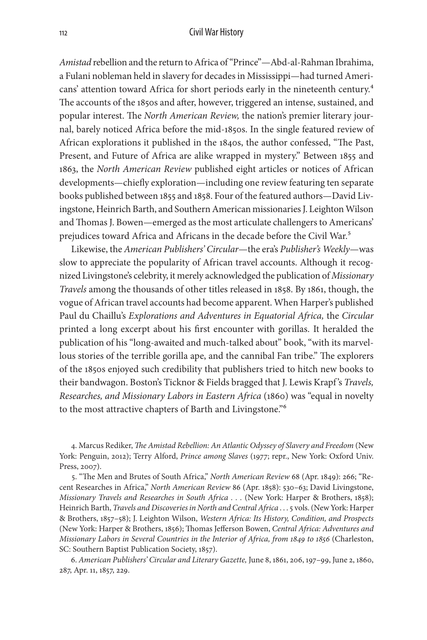*Amistad* rebellion and the return to Africa of "Prince"—Abd-al-Rahman Ibrahima, a Fulani nobleman held in slavery for decades in Mississippi—had turned Americans' attention toward Africa for short periods early in the nineteenth century.<sup>4</sup> The accounts of the 1850s and after, however, triggered an intense, sustained, and popular interest. The *North American Review,* the nation's premier literary journal, barely noticed Africa before the mid-1850s. In the single featured review of African explorations it published in the 1840s, the author confessed, "The Past, Present, and Future of Africa are alike wrapped in mystery." Between 1855 and 1863, the *North American Review* published eight articles or notices of African developments—chiefly exploration—including one review featuring ten separate books published between 1855 and 1858. Four of the featured authors—David Livingstone, Heinrich Barth, and Southern American missionaries J. Leighton Wilson and Thomas J. Bowen—emerged as the most articulate challengers to Americans' prejudices toward Africa and Africans in the decade before the Civil War.<sup>5</sup>

Likewise, the *American Publishers' Circular*—the era's *Publisher's Weekly*—was slow to appreciate the popularity of African travel accounts. Although it recognized Livingstone's celebrity, it merely acknowledged the publication of *Missionary Travels* among the thousands of other titles released in 1858. By 1861, though, the vogue of African travel accounts had become apparent. When Harper's published Paul du Chaillu's *Explorations and Adventures in Equatorial Africa,* the *Circular* printed a long excerpt about his first encounter with gorillas. It heralded the publication of his "long-awaited and much-talked about" book, "with its marvellous stories of the terrible gorilla ape, and the cannibal Fan tribe." The explorers of the 1850s enjoyed such credibility that publishers tried to hitch new books to their bandwagon. Boston's Ticknor & Fields bragged that J. Lewis Krapf 's *Travels, Researches, and Missionary Labors in Eastern Africa* (1860) was "equal in novelty to the most attractive chapters of Barth and Livingstone."6

4. Marcus Rediker, *The Amistad Rebellion: An Atlantic Odyssey of Slavery and Freedom* (New York: Penguin, 2012); Terry Alford, *Prince among Slaves* (1977; repr., New York: Oxford Univ. Press, 2007).

5. "The Men and Brutes of South Africa," *North American Review* 68 (Apr. 1849): 266; "Recent Researches in Africa," *North American Review* 86 (Apr. 1858): 530–63; David Livingstone, *Missionary Travels and Researches in South Africa . . . (New York: Harper & Brothers, 1858);* Heinrich Barth, *Travels and Discoveries in North and Central Africa* . . . 5 vols. (New York: Harper & Brothers, 1857–58); J. Leighton Wilson, *Western Africa: Its History, Condition, and Prospects* (New York: Harper & Brothers, 1856); Thomas Jefferson Bowen, *Central Africa: Adventures and Missionary Labors in Several Countries in the Interior of Africa, from 1849 to 1856* (Charleston, SC: Southern Baptist Publication Society, 1857).

6. *American Publishers' Circular and Literary Gazette,* June 8, 1861, 206, 197–99, June 2, 1860, 287, Apr. 11, 1857, 229.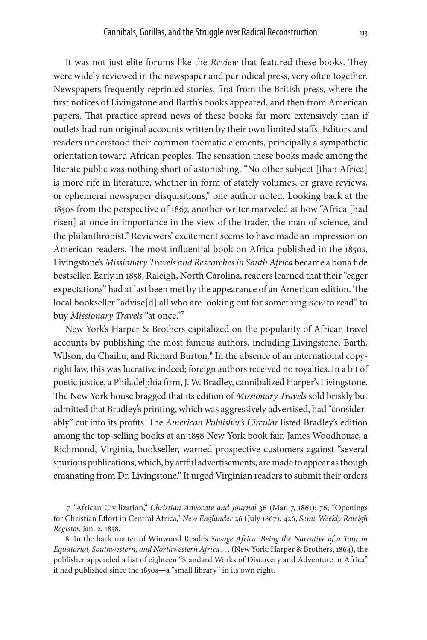It was not just elite forums like the *Review* that featured these books. They were widely reviewed in the newspaper and periodical press, very often together. Newspapers frequently reprinted stories, first from the British press, where the first notices of Livingstone and Barth's books appeared, and then from American papers. That practice spread news of these books far more extensively than if outlets had run original accounts written by their own limited staffs. Editors and readers understood their common thematic elements, principally a sympathetic orientation toward African peoples. The sensation these books made among the literate public was nothing short of astonishing. "No other subject [than Africa] is more rife in literature, whether in form of stately volumes, or grave reviews, or ephemeral newspaper disquisitions," one author noted. Looking back at the 1850s from the perspective of 1867, another writer marveled at how "Africa [had risen] at once in importance in the view of the trader, the man of science, and the philanthropist." Reviewers' excitement seems to have made an impression on American readers. The most influential book on Africa published in the 1850s, Livingstone's *Missionary Travels and Researches in South Africa* became a bona fide bestseller. Early in 1858, Raleigh, North Carolina, readers learned that their "eager expectations" had at last been met by the appearance of an American edition. The local bookseller "advise[d] all who are looking out for something *new* to read" to buy *Missionary Travels* "at once."7

New York's Harper & Brothers capitalized on the popularity of African travel accounts by publishing the most famous authors, including Livingstone, Barth, Wilson, du Chaillu, and Richard Burton.<sup>8</sup> In the absence of an international copyright law, this was lucrative indeed; foreign authors received no royalties. In a bit of poetic justice, a Philadelphia firm, J. W. Bradley, cannibalized Harper's Livingstone. The New York house bragged that its edition of *Missionary Travels* sold briskly but admitted that Bradley's printing, which was aggressively advertised, had "considerably" cut into its profits. The *American Publisher's Circular* listed Bradley's edition among the top-selling books at an 1858 New York book fair. James Woodhouse, a Richmond, Virginia, bookseller, warned prospective customers against "several spurious publications, which, by artful advertisements, are made to appear as though emanating from Dr. Livingstone." It urged Virginian readers to submit their orders

7. "African Civilization," *Christian Advocate and Journal* 36 (Mar. 7, 1861): 76; "Openings for Christian Effort in Central Africa," *New Englander* 26 (July 1867): 426; *Semi-Weekly Raleigh Register,* Jan. 2, 1858.

8. In the back matter of Winwood Reade's *Savage Africa: Being the Narrative of a Tour in*  Equatorial, Southwestern, and Northwestern Africa . . . (New York: Harper & Brothers, 1864), the publisher appended a list of eighteen "Standard Works of Discovery and Adventure in Africa" it had published since the 1850s—a "small library" in its own right.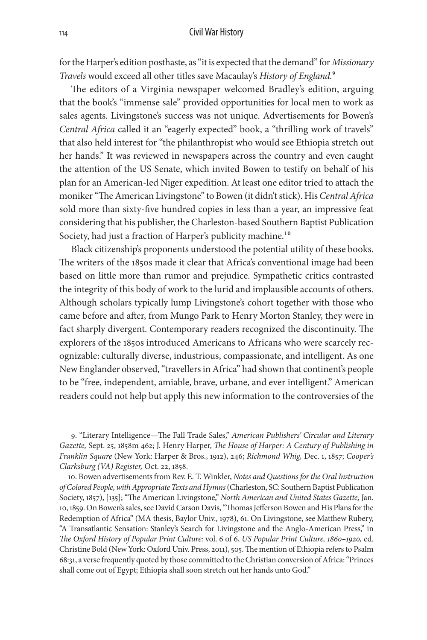for the Harper's edition posthaste, as "it is expected that the demand" for *Missionary Travels* would exceed all other titles save Macaulay's *History of England.*9

The editors of a Virginia newspaper welcomed Bradley's edition, arguing that the book's "immense sale" provided opportunities for local men to work as sales agents. Livingstone's success was not unique. Advertisements for Bowen's *Central Africa* called it an "eagerly expected" book, a "thrilling work of travels" that also held interest for "the philanthropist who would see Ethiopia stretch out her hands." It was reviewed in newspapers across the country and even caught the attention of the US Senate, which invited Bowen to testify on behalf of his plan for an American-led Niger expedition. At least one editor tried to attach the moniker "The American Livingstone" to Bowen (it didn't stick). His *Central Africa* sold more than sixty-five hundred copies in less than a year, an impressive feat considering that his publisher, the Charleston-based Southern Baptist Publication Society, had just a fraction of Harper's publicity machine.<sup>10</sup>

Black citizenship's proponents understood the potential utility of these books. The writers of the 1850s made it clear that Africa's conventional image had been based on little more than rumor and prejudice. Sympathetic critics contrasted the integrity of this body of work to the lurid and implausible accounts of others. Although scholars typically lump Livingstone's cohort together with those who came before and after, from Mungo Park to Henry Morton Stanley, they were in fact sharply divergent. Contemporary readers recognized the discontinuity. The explorers of the 1850s introduced Americans to Africans who were scarcely recognizable: culturally diverse, industrious, compassionate, and intelligent. As one New Englander observed, "travellers in Africa" had shown that continent's people to be "free, independent, amiable, brave, urbane, and ever intelligent." American readers could not help but apply this new information to the controversies of the

9. "Literary Intelligence—The Fall Trade Sales," *American Publishers' Circular and Literary Gazette,* Sept. 25, 1858m 462; J. Henry Harper, *The House of Harper: A Century of Publishing in Franklin Square* (New York: Harper & Bros., 1912), 246; *Richmond Whig,* Dec. 1, 1857; *Cooper's Clarksburg (VA) Register,* Oct. 22, 1858.

10. Bowen advertisements from Rev. E. T. Winkler, *Notes and Questions for the Oral Instruction of Colored People, with Appropriate Texts and Hymns* (Charleston, SC: Southern Baptist Publication Society, 1857), [135]; "The American Livingstone," *North American and United States Gazette,* Jan. 10, 1859. On Bowen's sales, see David Carson Davis, "Thomas Jefferson Bowen and His Plans for the Redemption of Africa" (MA thesis, Baylor Univ., 1978), 61. On Livingstone, see Matthew Rubery, "A Transatlantic Sensation: Stanley's Search for Livingstone and the Anglo-American Press," in *The Oxford History of Popular Print Culture:* vol. 6 of 6, *US Popular Print Culture, 1860–1920,* ed. Christine Bold (New York: Oxford Univ. Press, 2011), 505. The mention of Ethiopia refers to Psalm 68:31, a verse frequently quoted by those committed to the Christian conversion of Africa: "Princes shall come out of Egypt; Ethiopia shall soon stretch out her hands unto God."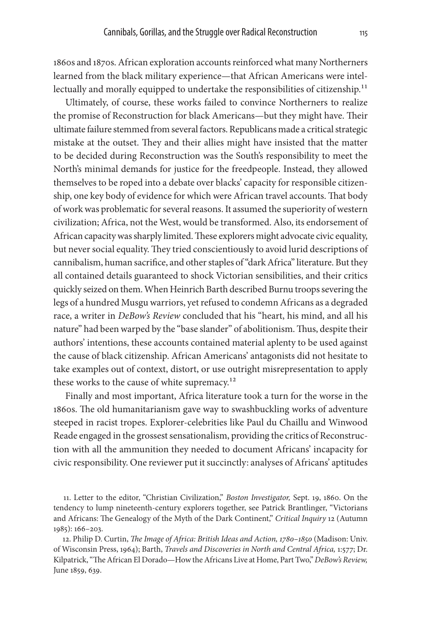1860s and 1870s. African exploration accounts reinforced what many Northerners learned from the black military experience—that African Americans were intellectually and morally equipped to undertake the responsibilities of citizenship.<sup>11</sup>

Ultimately, of course, these works failed to convince Northerners to realize the promise of Reconstruction for black Americans—but they might have. Their ultimate failure stemmed from several factors. Republicans made a critical strategic mistake at the outset. They and their allies might have insisted that the matter to be decided during Reconstruction was the South's responsibility to meet the North's minimal demands for justice for the freedpeople. Instead, they allowed themselves to be roped into a debate over blacks' capacity for responsible citizenship, one key body of evidence for which were African travel accounts. That body of work was problematic for several reasons. It assumed the superiority of western civilization; Africa, not the West, would be transformed. Also, its endorsement of African capacity was sharply limited. These explorers might advocate civic equality, but never social equality. They tried conscientiously to avoid lurid descriptions of cannibalism, human sacrifice, and other staples of "dark Africa" literature. But they all contained details guaranteed to shock Victorian sensibilities, and their critics quickly seized on them. When Heinrich Barth described Burnu troops severing the legs of a hundred Musgu warriors, yet refused to condemn Africans as a degraded race, a writer in *DeBow's Review* concluded that his "heart, his mind, and all his nature" had been warped by the "base slander" of abolitionism. Thus, despite their authors' intentions, these accounts contained material aplenty to be used against the cause of black citizenship. African Americans' antagonists did not hesitate to take examples out of context, distort, or use outright misrepresentation to apply these works to the cause of white supremacy.<sup>12</sup>

Finally and most important, Africa literature took a turn for the worse in the 1860s. The old humanitarianism gave way to swashbuckling works of adventure steeped in racist tropes. Explorer-celebrities like Paul du Chaillu and Winwood Reade engaged in the grossest sensationalism, providing the critics of Reconstruction with all the ammunition they needed to document Africans' incapacity for civic responsibility. One reviewer put it succinctly: analyses of Africans' aptitudes

11. Letter to the editor, "Christian Civilization," *Boston Investigator,* Sept. 19, 1860. On the tendency to lump nineteenth-century explorers together, see Patrick Brantlinger, "Victorians and Africans: The Genealogy of the Myth of the Dark Continent," *Critical Inquiry* 12 (Autumn 1985): 166–203.

12. Philip D. Curtin, *The Image of Africa: British Ideas and Action, 1780–1850* (Madison: Univ. of Wisconsin Press, 1964); Barth, *Travels and Discoveries in North and Central Africa,* 1:577; Dr. Kilpatrick, "The African El Dorado—How the Africans Live at Home, Part Two," *DeBow's Review,* June 1859, 639.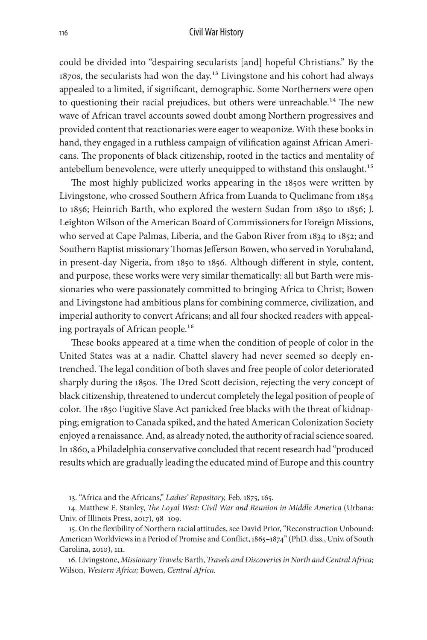could be divided into "despairing secularists [and] hopeful Christians." By the 1870s, the secularists had won the day.<sup>13</sup> Livingstone and his cohort had always appealed to a limited, if significant, demographic. Some Northerners were open to questioning their racial prejudices, but others were unreachable.<sup>14</sup> The new wave of African travel accounts sowed doubt among Northern progressives and provided content that reactionaries were eager to weaponize. With these books in hand, they engaged in a ruthless campaign of vilification against African Americans. The proponents of black citizenship, rooted in the tactics and mentality of antebellum benevolence, were utterly unequipped to withstand this onslaught.<sup>15</sup>

The most highly publicized works appearing in the 1850s were written by Livingstone, who crossed Southern Africa from Luanda to Quelimane from 1854 to 1856; Heinrich Barth, who explored the western Sudan from 1850 to 1856; J. Leighton Wilson of the American Board of Commissioners for Foreign Missions, who served at Cape Palmas, Liberia, and the Gabon River from 1834 to 1852; and Southern Baptist missionary Thomas Jefferson Bowen, who served in Yorubaland, in present-day Nigeria, from 1850 to 1856. Although different in style, content, and purpose, these works were very similar thematically: all but Barth were missionaries who were passionately committed to bringing Africa to Christ; Bowen and Livingstone had ambitious plans for combining commerce, civilization, and imperial authority to convert Africans; and all four shocked readers with appealing portrayals of African people.<sup>16</sup>

These books appeared at a time when the condition of people of color in the United States was at a nadir. Chattel slavery had never seemed so deeply entrenched. The legal condition of both slaves and free people of color deteriorated sharply during the 1850s. The Dred Scott decision, rejecting the very concept of black citizenship, threatened to undercut completely the legal position of people of color. The 1850 Fugitive Slave Act panicked free blacks with the threat of kidnapping; emigration to Canada spiked, and the hated American Colonization Society enjoyed a renaissance. And, as already noted, the authority of racial science soared. In 1860, a Philadelphia conservative concluded that recent research had "produced results which are gradually leading the educated mind of Europe and this country

13. "Africa and the Africans," *Ladies' Repository,* Feb. 1875, 165.

14. Matthew E. Stanley, *The Loyal West: Civil War and Reunion in Middle America* (Urbana: Univ. of Illinois Press, 2017), 98–109.

15. On the flexibility of Northern racial attitudes, see David Prior, "Reconstruction Unbound: American Worldviews in a Period of Promise and Conflict, 1865–1874" (PhD. diss., Univ. of South Carolina, 2010), 111.

16. Livingstone, *Missionary Travels;* Barth, *Travels and Discoveries in North and Central Africa;*  Wilson, *Western Africa;* Bowen, *Central Africa.*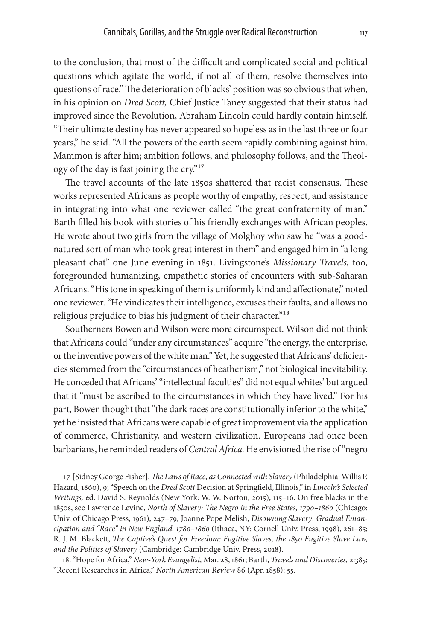to the conclusion, that most of the difficult and complicated social and political questions which agitate the world, if not all of them, resolve themselves into questions of race." The deterioration of blacks' position was so obvious that when, in his opinion on *Dred Scott,* Chief Justice Taney suggested that their status had improved since the Revolution, Abraham Lincoln could hardly contain himself. "Their ultimate destiny has never appeared so hopeless as in the last three or four years," he said. "All the powers of the earth seem rapidly combining against him. Mammon is after him; ambition follows, and philosophy follows, and the Theology of the day is fast joining the cry."17

The travel accounts of the late 1850s shattered that racist consensus. These works represented Africans as people worthy of empathy, respect, and assistance in integrating into what one reviewer called "the great confraternity of man." Barth filled his book with stories of his friendly exchanges with African peoples. He wrote about two girls from the village of Molghoy who saw he "was a goodnatured sort of man who took great interest in them" and engaged him in "a long pleasant chat" one June evening in 1851. Livingstone's *Missionary Travels,* too, foregrounded humanizing, empathetic stories of encounters with sub-Saharan Africans. "His tone in speaking of them is uniformly kind and affectionate," noted one reviewer. "He vindicates their intelligence, excuses their faults, and allows no religious prejudice to bias his judgment of their character."<sup>18</sup>

Southerners Bowen and Wilson were more circumspect. Wilson did not think that Africans could "under any circumstances" acquire "the energy, the enterprise, or the inventive powers of the white man." Yet, he suggested that Africans' deficiencies stemmed from the "circumstances of heathenism," not biological inevitability. He conceded that Africans' "intellectual faculties" did not equal whites' but argued that it "must be ascribed to the circumstances in which they have lived." For his part, Bowen thought that "the dark races are constitutionally inferior to the white," yet he insisted that Africans were capable of great improvement via the application of commerce, Christianity, and western civilization. Europeans had once been barbarians, he reminded readers of *Central Africa.* He envisioned the rise of "negro

17. [Sidney George Fisher], *The Laws of Race, as Connected with Slavery* (Philadelphia: Willis P. Hazard, 1860), 9; "Speech on the *Dred Scott* Decision at Springfield, Illinois," in *Lincoln's Selected Writings,* ed. David S. Reynolds (New York: W. W. Norton, 2015), 115–16. On free blacks in the 1850s, see Lawrence Levine, *North of Slavery: The Negro in the Free States, 1790–1860* (Chicago: Univ. of Chicago Press, 1961), 247–79; Joanne Pope Melish, *Disowning Slavery: Gradual Emancipation and "Race" in New England, 1780–1860* (Ithaca, NY: Cornell Univ. Press, 1998), 261–85; R. J. M. Blackett, *The Captive's Quest for Freedom: Fugitive Slaves, the 1850 Fugitive Slave Law, and the Politics of Slavery* (Cambridge: Cambridge Univ. Press, 2018).

18. "Hope for Africa," *New-York Evangelist,* Mar. 28, 1861; Barth, *Travels and Discoveries,* 2:385; "Recent Researches in Africa," *North American Review* 86 (Apr. 1858): 55.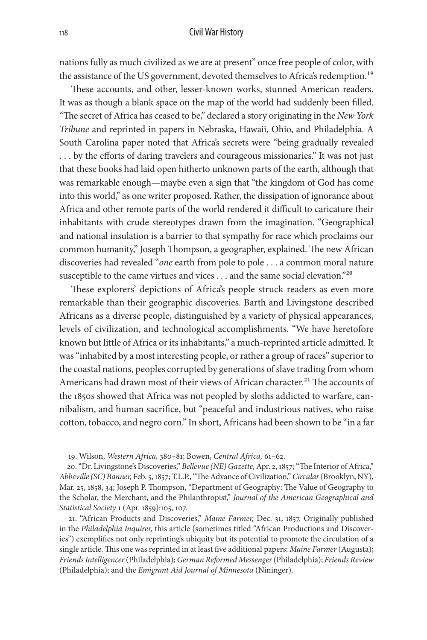nations fully as much civilized as we are at present" once free people of color, with the assistance of the US government, devoted themselves to Africa's redemption.<sup>19</sup>

These accounts, and other, lesser-known works, stunned American readers. It was as though a blank space on the map of the world had suddenly been filled. "The secret of Africa has ceased to be," declared a story originating in the *New York Tribune* and reprinted in papers in Nebraska, Hawaii, Ohio, and Philadelphia. A South Carolina paper noted that Africa's secrets were "being gradually revealed . . . by the efforts of daring travelers and courageous missionaries." It was not just that these books had laid open hitherto unknown parts of the earth, although that was remarkable enough—maybe even a sign that "the kingdom of God has come into this world," as one writer proposed. Rather, the dissipation of ignorance about Africa and other remote parts of the world rendered it difficult to caricature their inhabitants with crude stereotypes drawn from the imagination. "Geographical and national insulation is a barrier to that sympathy for race which proclaims our common humanity," Joseph Thompson, a geographer, explained. The new African discoveries had revealed "*one* earth from pole to pole . . . a common moral nature susceptible to the came virtues and vices . . . and the same social elevation."<sup>20</sup>

These explorers' depictions of Africa's people struck readers as even more remarkable than their geographic discoveries. Barth and Livingstone described Africans as a diverse people, distinguished by a variety of physical appearances, levels of civilization, and technological accomplishments. "We have heretofore known but little of Africa or its inhabitants," a much-reprinted article admitted. It was "inhabited by a most interesting people, or rather a group of races" superior to the coastal nations, peoples corrupted by generations of slave trading from whom Americans had drawn most of their views of African character.<sup>21</sup> The accounts of the 1850s showed that Africa was not peopled by sloths addicted to warfare, cannibalism, and human sacrifice, but "peaceful and industrious natives, who raise cotton, tobacco, and negro corn." In short, Africans had been shown to be "in a far

19. Wilson, *Western Africa,* 380–81; Bowen, *Central Africa,* 61–62.

20. "Dr. Livingstone's Discoveries," *Bellevue (NE) Gazette,* Apr. 2, 1857; "The Interior of Africa," *Abbeville (SC) Banner,* Feb. 5, 1857; T.L.P., "The Advance of Civilization," *Circular* (Brooklyn, NY), Mar. 25, 1858, 34; Joseph P. Thompson, "Department of Geography: The Value of Geography to the Scholar, the Merchant, and the Philanthropist," *Journal of the American Geographical and Statistical Society* 1 (Apr. 1859):105, 107.

21. "African Products and Discoveries," *Maine Farmer,* Dec. 31, 1857. Originally published in the *Philadelphia Inquirer,* this article (sometimes titled "African Productions and Discoveries") exemplifies not only reprinting's ubiquity but its potential to promote the circulation of a single article. This one was reprinted in at least five additional papers: *Maine Farmer* (Augusta); *Friends Intelligencer* (Philadelphia); *German Reformed Messenger* (Philadelphia); *Friends Review* (Philadelphia); and the *Emigrant Aid Journal of Minnesota* (Nininger).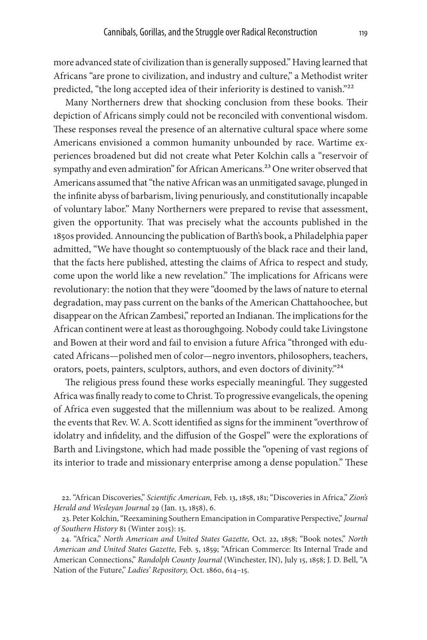more advanced state of civilization than is generally supposed." Having learned that Africans "are prone to civilization, and industry and culture," a Methodist writer predicted, "the long accepted idea of their inferiority is destined to vanish."<sup>22</sup>

Many Northerners drew that shocking conclusion from these books. Their depiction of Africans simply could not be reconciled with conventional wisdom. These responses reveal the presence of an alternative cultural space where some Americans envisioned a common humanity unbounded by race. Wartime experiences broadened but did not create what Peter Kolchin calls a "reservoir of sympathy and even admiration" for African Americans.<sup>23</sup> One writer observed that Americans assumed that "the native African was an unmitigated savage, plunged in the infinite abyss of barbarism, living penuriously, and constitutionally incapable of voluntary labor." Many Northerners were prepared to revise that assessment, given the opportunity. That was precisely what the accounts published in the 1850s provided. Announcing the publication of Barth's book, a Philadelphia paper admitted, "We have thought so contemptuously of the black race and their land, that the facts here published, attesting the claims of Africa to respect and study, come upon the world like a new revelation." The implications for Africans were revolutionary: the notion that they were "doomed by the laws of nature to eternal degradation, may pass current on the banks of the American Chattahoochee, but disappear on the African Zambesi," reported an Indianan. The implications for the African continent were at least as thoroughgoing. Nobody could take Livingstone and Bowen at their word and fail to envision a future Africa "thronged with educated Africans—polished men of color—negro inventors, philosophers, teachers, orators, poets, painters, sculptors, authors, and even doctors of divinity."<sup>24</sup>

The religious press found these works especially meaningful. They suggested Africa was finally ready to come to Christ. To progressive evangelicals, the opening of Africa even suggested that the millennium was about to be realized. Among the events that Rev. W. A. Scott identified as signs for the imminent "overthrow of idolatry and infidelity, and the diffusion of the Gospel" were the explorations of Barth and Livingstone, which had made possible the "opening of vast regions of its interior to trade and missionary enterprise among a dense population." These

22. "African Discoveries," *Scientific American,* Feb. 13, 1858, 181; "Discoveries in Africa," *Zion's Herald and Wesleyan Journal* 29 (Jan. 13, 1858), 6.

23. Peter Kolchin, "Reexamining Southern Emancipation in Comparative Perspective," *Journal of Southern History* 81 (Winter 2015): 15.

24. "Africa," *North American and United States Gazette,* Oct. 22, 1858; "Book notes," *North American and United States Gazette,* Feb. 5, 1859; "African Commerce: Its Internal Trade and American Connections," *Randolph County Journal* (Winchester, IN), July 15, 1858; J. D. Bell, "A Nation of the Future," *Ladies' Repository,* Oct. 1860, 614–15.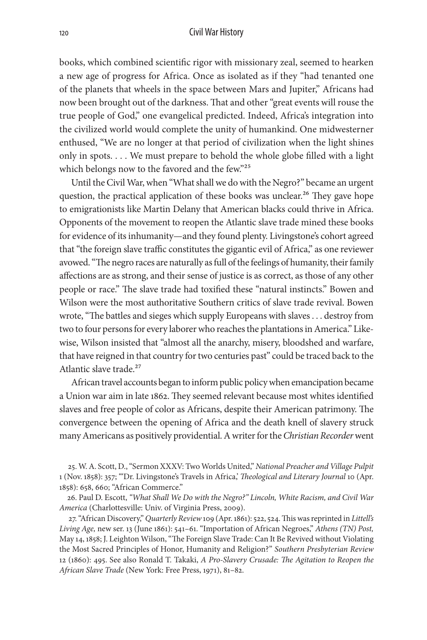books, which combined scientific rigor with missionary zeal, seemed to hearken a new age of progress for Africa. Once as isolated as if they "had tenanted one of the planets that wheels in the space between Mars and Jupiter," Africans had now been brought out of the darkness. That and other "great events will rouse the true people of God," one evangelical predicted. Indeed, Africa's integration into the civilized world would complete the unity of humankind. One midwesterner enthused, "We are no longer at that period of civilization when the light shines only in spots. . . . We must prepare to behold the whole globe filled with a light which belongs now to the favored and the few."25

Until the Civil War, when "What shall we do with the Negro?" became an urgent question, the practical application of these books was unclear.<sup>26</sup> They gave hope to emigrationists like Martin Delany that American blacks could thrive in Africa. Opponents of the movement to reopen the Atlantic slave trade mined these books for evidence of its inhumanity—and they found plenty. Livingstone's cohort agreed that "the foreign slave traffic constitutes the gigantic evil of Africa," as one reviewer avowed. "The negro races are naturally as full of the feelings of humanity, their family affections are as strong, and their sense of justice is as correct, as those of any other people or race." The slave trade had toxified these "natural instincts." Bowen and Wilson were the most authoritative Southern critics of slave trade revival. Bowen wrote, "The battles and sieges which supply Europeans with slaves . . . destroy from two to four persons for every laborer who reaches the plantations in America." Likewise, Wilson insisted that "almost all the anarchy, misery, bloodshed and warfare, that have reigned in that country for two centuries past" could be traced back to the Atlantic slave trade.<sup>27</sup>

African travel accounts began to inform public policy when emancipation became a Union war aim in late 1862. They seemed relevant because most whites identified slaves and free people of color as Africans, despite their American patrimony. The convergence between the opening of Africa and the death knell of slavery struck many Americans as positively providential. A writer for the *Christian Recorder* went

25. W. A. Scott, D., "Sermon XXXV: Two Worlds United," *National Preacher and Village Pulpit* 1 (Nov. 1858): 357; "'Dr. Livingstone's Travels in Africa,' *Theological and Literary Journal* 10 (Apr. 1858): 658, 660; "African Commerce."

26. Paul D. Escott, *"What Shall We Do with the Negro?" Lincoln, White Racism, and Civil War America* (Charlottesville: Univ. of Virginia Press, 2009).

27. "African Discovery," *Quarterly Review* 109 (Apr. 1861): 522, 524. This was reprinted in *Littell's Living Age,* new ser. 13 (June 1861): 541–61. "Importation of African Negroes," *Athens (TN) Post,* May 14, 1858; J. Leighton Wilson, "The Foreign Slave Trade: Can It Be Revived without Violating the Most Sacred Principles of Honor, Humanity and Religion?" *Southern Presbyterian Review* 12 (1860): 495. See also Ronald T. Takaki, *A Pro-Slavery Crusade: The Agitation to Reopen the African Slave Trade* (New York: Free Press, 1971), 81–82.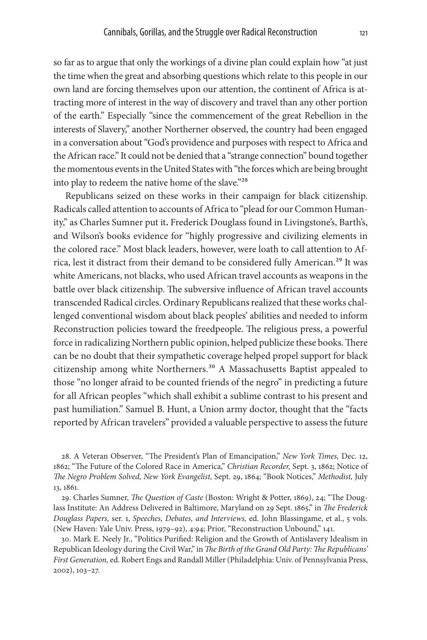so far as to argue that only the workings of a divine plan could explain how "at just the time when the great and absorbing questions which relate to this people in our own land are forcing themselves upon our attention, the continent of Africa is attracting more of interest in the way of discovery and travel than any other portion of the earth." Especially "since the commencement of the great Rebellion in the interests of Slavery," another Northerner observed, the country had been engaged in a conversation about "God's providence and purposes with respect to Africa and the African race." It could not be denied that a "strange connection" bound together the momentous events in the United States with "the forces which are being brought into play to redeem the native home of the slave."28

Republicans seized on these works in their campaign for black citizenship. Radicals called attention to accounts of Africa to "plead for our Common Humanity," as Charles Sumner put it**.** Frederick Douglass found in Livingstone's, Barth's, and Wilson's books evidence for "highly progressive and civilizing elements in the colored race." Most black leaders, however, were loath to call attention to Africa, lest it distract from their demand to be considered fully American.<sup>29</sup> It was white Americans, not blacks, who used African travel accounts as weapons in the battle over black citizenship. The subversive influence of African travel accounts transcended Radical circles. Ordinary Republicans realized that these works challenged conventional wisdom about black peoples' abilities and needed to inform Reconstruction policies toward the freedpeople. The religious press, a powerful force in radicalizing Northern public opinion, helped publicize these books. There can be no doubt that their sympathetic coverage helped propel support for black citizenship among white Northerners.<sup>30</sup> A Massachusetts Baptist appealed to those "no longer afraid to be counted friends of the negro" in predicting a future for all African peoples "which shall exhibit a sublime contrast to his present and past humiliation." Samuel B. Hunt, a Union army doctor, thought that the "facts reported by African travelers" provided a valuable perspective to assess the future

28. A Veteran Observer, "The President's Plan of Emancipation," *New York Times,* Dec. 12, 1862; "The Future of the Colored Race in America," *Christian Recorder,* Sept. 3, 1862; Notice of *The Negro Problem Solved, New York Evangelist,* Sept. 29, 1864; "Book Notices," *Methodist,* July 13, 1861.

29. Charles Sumner, *The Question of Caste* (Boston: Wright & Potter, 1869), 24; "The Douglass Institute: An Address Delivered in Baltimore, Maryland on 29 Sept. 1865," in *The Frederick Douglass Papers,* ser. 1, *Speeches, Debates, and Interviews,* ed. John Blassingame, et al., 5 vols. (New Haven: Yale Univ. Press, 1979–92), 4:94; Prior, "Reconstruction Unbound," 141.

30. Mark E. Neely Jr., "Politics Purified: Religion and the Growth of Antislavery Idealism in Republican Ideology during the Civil War," in *The Birth of the Grand Old Party: The Republicans' First Generation,* ed. Robert Engs and Randall Miller (Philadelphia: Univ. of Pennsylvania Press, 2002), 103–27.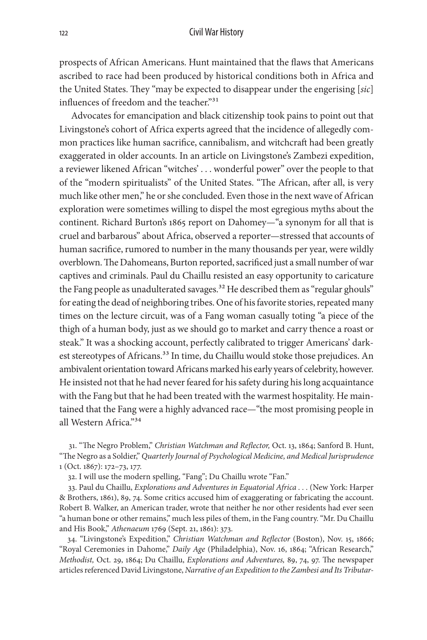prospects of African Americans. Hunt maintained that the flaws that Americans ascribed to race had been produced by historical conditions both in Africa and the United States. They "may be expected to disappear under the engerising [*sic*] influences of freedom and the teacher."<sup>31</sup>

Advocates for emancipation and black citizenship took pains to point out that Livingstone's cohort of Africa experts agreed that the incidence of allegedly common practices like human sacrifice, cannibalism, and witchcraft had been greatly exaggerated in older accounts. In an article on Livingstone's Zambezi expedition, a reviewer likened African "witches' . . . wonderful power" over the people to that of the "modern spiritualists" of the United States. "The African, after all, is very much like other men," he or she concluded. Even those in the next wave of African exploration were sometimes willing to dispel the most egregious myths about the continent. Richard Burton's 1865 report on Dahomey—"a synonym for all that is cruel and barbarous" about Africa, observed a reporter—stressed that accounts of human sacrifice, rumored to number in the many thousands per year, were wildly overblown. The Dahomeans, Burton reported, sacrificed just a small number of war captives and criminals. Paul du Chaillu resisted an easy opportunity to caricature the Fang people as unadulterated savages.<sup>32</sup> He described them as "regular ghouls" for eating the dead of neighboring tribes. One of his favorite stories, repeated many times on the lecture circuit, was of a Fang woman casually toting "a piece of the thigh of a human body, just as we should go to market and carry thence a roast or steak." It was a shocking account, perfectly calibrated to trigger Americans' darkest stereotypes of Africans.<sup>33</sup> In time, du Chaillu would stoke those prejudices. An ambivalent orientation toward Africans marked his early years of celebrity, however. He insisted not that he had never feared for his safety during his long acquaintance with the Fang but that he had been treated with the warmest hospitality. He maintained that the Fang were a highly advanced race—"the most promising people in all Western Africa."34

31. "The Negro Problem," *Christian Watchman and Reflector,* Oct. 13, 1864; Sanford B. Hunt, "The Negro as a Soldier," *Quarterly Journal of Psychological Medicine, and Medical Jurisprudence* 1 (Oct. 1867): 172–73, 177.

32. I will use the modern spelling, "Fang"; Du Chaillu wrote "Fan."

33. Paul du Chaillu, *Explorations and Adventures in Equatorial Africa . . .* (New York: Harper & Brothers, 1861), 89, 74. Some critics accused him of exaggerating or fabricating the account. Robert B. Walker, an American trader, wrote that neither he nor other residents had ever seen "a human bone or other remains," much less piles of them, in the Fang country. "Mr. Du Chaillu and His Book," *Athenaeum* 1769 (Sept. 21, 1861): 373.

34. "Livingstone's Expedition," *Christian Watchman and Reflector* (Boston), Nov. 15, 1866; "Royal Ceremonies in Dahome," *Daily Age* (Philadelphia), Nov. 16, 1864; "African Research," *Methodist,* Oct. 29, 1864; Du Chaillu, *Explorations and Adventures,* 89, 74, 97. The newspaper articles referenced David Livingstone, *Narrative of an Expedition to the Zambesi and Its Tributar-*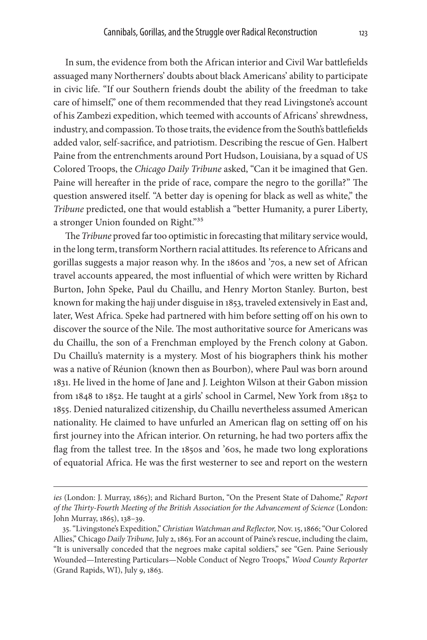In sum, the evidence from both the African interior and Civil War battlefields assuaged many Northerners' doubts about black Americans' ability to participate in civic life. "If our Southern friends doubt the ability of the freedman to take care of himself," one of them recommended that they read Livingstone's account of his Zambezi expedition, which teemed with accounts of Africans' shrewdness, industry, and compassion. To those traits, the evidence from the South's battlefields added valor, self-sacrifice, and patriotism. Describing the rescue of Gen. Halbert Paine from the entrenchments around Port Hudson, Louisiana, by a squad of US Colored Troops, the *Chicago Daily Tribune* asked, "Can it be imagined that Gen. Paine will hereafter in the pride of race, compare the negro to the gorilla?" The question answered itself. "A better day is opening for black as well as white," the *Tribune* predicted, one that would establish a "better Humanity, a purer Liberty, a stronger Union founded on Right."35

The *Tribune* proved far too optimistic in forecasting that military service would, in the long term, transform Northern racial attitudes. Its reference to Africans and gorillas suggests a major reason why. In the 1860s and '70s, a new set of African travel accounts appeared, the most influential of which were written by Richard Burton, John Speke, Paul du Chaillu, and Henry Morton Stanley. Burton, best known for making the hajj under disguise in 1853, traveled extensively in East and, later, West Africa. Speke had partnered with him before setting off on his own to discover the source of the Nile. The most authoritative source for Americans was du Chaillu, the son of a Frenchman employed by the French colony at Gabon. Du Chaillu's maternity is a mystery. Most of his biographers think his mother was a native of Réunion (known then as Bourbon), where Paul was born around 1831. He lived in the home of Jane and J. Leighton Wilson at their Gabon mission from 1848 to 1852. He taught at a girls' school in Carmel, New York from 1852 to 1855. Denied naturalized citizenship, du Chaillu nevertheless assumed American nationality. He claimed to have unfurled an American flag on setting off on his first journey into the African interior. On returning, he had two porters affix the flag from the tallest tree. In the 1850s and '60s, he made two long explorations of equatorial Africa. He was the first westerner to see and report on the western

*ies* (London: J. Murray, 1865); and Richard Burton, "On the Present State of Dahome," *Report of the Thirty-Fourth Meeting of the British Association for the Advancement of Science* (London: John Murray, 1865), 138–39.

<sup>35. &</sup>quot;Livingstone's Expedition," *Christian Watchman and Reflector,* Nov. 15, 1866; "Our Colored Allies," Chicago *Daily Tribune,* July 2, 1863. For an account of Paine's rescue, including the claim, "It is universally conceded that the negroes make capital soldiers," see "Gen. Paine Seriously Wounded—Interesting Particulars—Noble Conduct of Negro Troops," *Wood County Reporter* (Grand Rapids, WI), July 9, 1863.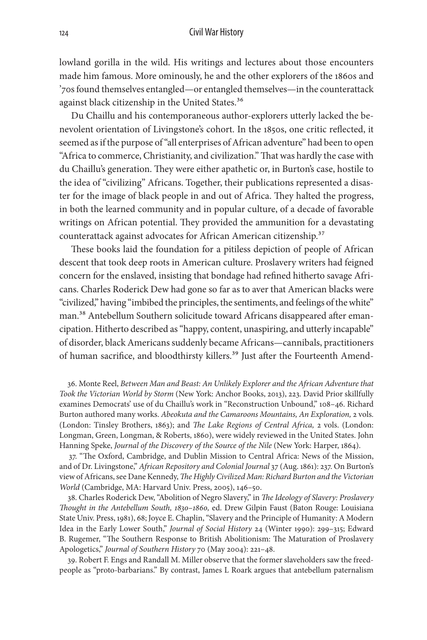lowland gorilla in the wild. His writings and lectures about those encounters made him famous. More ominously, he and the other explorers of the 1860s and '70s found themselves entangled—or entangled themselves—in the counterattack against black citizenship in the United States.<sup>36</sup>

Du Chaillu and his contemporaneous author-explorers utterly lacked the benevolent orientation of Livingstone's cohort. In the 1850s, one critic reflected, it seemed as if the purpose of "all enterprises of African adventure" had been to open "Africa to commerce, Christianity, and civilization." That was hardly the case with du Chaillu's generation. They were either apathetic or, in Burton's case, hostile to the idea of "civilizing" Africans. Together, their publications represented a disaster for the image of black people in and out of Africa. They halted the progress, in both the learned community and in popular culture, of a decade of favorable writings on African potential. They provided the ammunition for a devastating counterattack against advocates for African American citizenship.<sup>37</sup>

These books laid the foundation for a pitiless depiction of people of African descent that took deep roots in American culture. Proslavery writers had feigned concern for the enslaved, insisting that bondage had refined hitherto savage Africans. Charles Roderick Dew had gone so far as to aver that American blacks were "civilized," having "imbibed the principles, the sentiments, and feelings of the white" man.<sup>38</sup> Antebellum Southern solicitude toward Africans disappeared after emancipation. Hitherto described as "happy, content, unaspiring, and utterly incapable" of disorder, black Americans suddenly became Africans—cannibals, practitioners of human sacrifice, and bloodthirsty killers.<sup>39</sup> Just after the Fourteenth Amend-

36. Monte Reel, *Between Man and Beast: An Unlikely Explorer and the African Adventure that Took the Victorian World by Storm* (New York: Anchor Books, 2013), 223. David Prior skillfully examines Democrats' use of du Chaillu's work in "Reconstruction Unbound," 108–46. Richard Burton authored many works. *Abeokuta and the Camaroons Mountains, An Exploration,* 2 vols. (London: Tinsley Brothers, 1863); and *The Lake Regions of Central Africa,* 2 vols. (London: Longman, Green, Longman, & Roberts, 1860), were widely reviewed in the United States. John Hanning Speke, *Journal of the Discovery of the Source of the Nile* (New York: Harper, 1864).

37. "The Oxford, Cambridge, and Dublin Mission to Central Africa: News of the Mission, and of Dr. Livingstone," *African Repository and Colonial Journal* 37 (Aug. 1861): 237. On Burton's view of Africans, see Dane Kennedy, *The Highly Civilized Man: Richard Burton and the Victorian World* (Cambridge, MA: Harvard Univ. Press, 2005), 146–50.

38. Charles Roderick Dew, "Abolition of Negro Slavery," in *The Ideology of Slavery: Proslavery Thought in the Antebellum South, 1830–1860,* ed. Drew Gilpin Faust (Baton Rouge: Louisiana State Univ. Press, 1981), 68; Joyce E. Chaplin, "Slavery and the Principle of Humanity: A Modern Idea in the Early Lower South," *Journal of Social History* 24 (Winter 1990): 299–315; Edward B. Rugemer, "The Southern Response to British Abolitionism: The Maturation of Proslavery Apologetics," *Journal of Southern History* 70 (May 2004): 221–48.

39. Robert F. Engs and Randall M. Miller observe that the former slaveholders saw the freedpeople as "proto-barbarians." By contrast, James L Roark argues that antebellum paternalism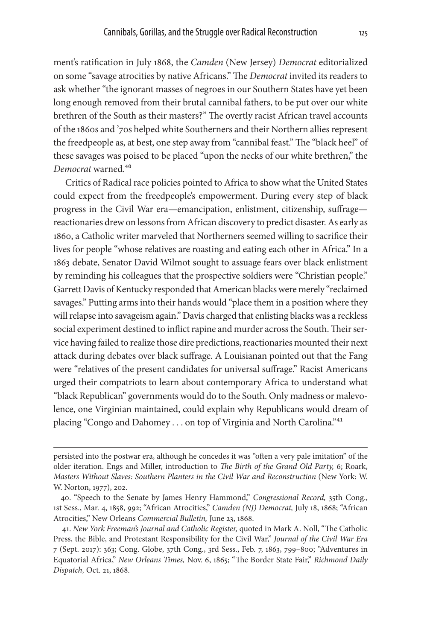ment's ratification in July 1868, the *Camden* (New Jersey) *Democrat* editorialized on some "savage atrocities by native Africans." The *Democrat* invited its readers to ask whether "the ignorant masses of negroes in our Southern States have yet been long enough removed from their brutal cannibal fathers, to be put over our white brethren of the South as their masters?" The overtly racist African travel accounts of the 1860s and '70s helped white Southerners and their Northern allies represent the freedpeople as, at best, one step away from "cannibal feast." The "black heel" of these savages was poised to be placed "upon the necks of our white brethren," the *Democrat* warned.40

Critics of Radical race policies pointed to Africa to show what the United States could expect from the freedpeople's empowerment. During every step of black progress in the Civil War era—emancipation, enlistment, citizenship, suffrage reactionaries drew on lessons from African discovery to predict disaster. As early as 1860, a Catholic writer marveled that Northerners seemed willing to sacrifice their lives for people "whose relatives are roasting and eating each other in Africa." In a 1863 debate, Senator David Wilmot sought to assuage fears over black enlistment by reminding his colleagues that the prospective soldiers were "Christian people." Garrett Davis of Kentucky responded that American blacks were merely "reclaimed savages." Putting arms into their hands would "place them in a position where they will relapse into savageism again." Davis charged that enlisting blacks was a reckless social experiment destined to inflict rapine and murder across the South. Their service having failed to realize those dire predictions, reactionaries mounted their next attack during debates over black suffrage. A Louisianan pointed out that the Fang were "relatives of the present candidates for universal suffrage." Racist Americans urged their compatriots to learn about contemporary Africa to understand what "black Republican" governments would do to the South. Only madness or malevolence, one Virginian maintained, could explain why Republicans would dream of placing "Congo and Dahomey . . . on top of Virginia and North Carolina."41

persisted into the postwar era, although he concedes it was "often a very pale imitation" of the older iteration. Engs and Miller, introduction to *The Birth of the Grand Old Party,* 6; Roark, *Masters Without Slaves: Southern Planters in the Civil War and Reconstruction* (New York: W. W. Norton, 1977), 202.

<sup>40. &</sup>quot;Speech to the Senate by James Henry Hammond," *Congressional Record,* 35th Cong., 1st Sess., Mar. 4, 1858, 992; "African Atrocities," *Camden (NJ) Democrat,* July 18, 1868; "African Atrocities," New Orleans *Commercial Bulletin,* June 23, 1868.

<sup>41.</sup> *New York Freeman's Journal and Catholic Register,* quoted in Mark A. Noll, "The Catholic Press, the Bible, and Protestant Responsibility for the Civil War," *Journal of the Civil War Era* 7 (Sept. 2017): 363; Cong. Globe, 37th Cong., 3rd Sess., Feb. 7, 1863, 799–800; "Adventures in Equatorial Africa," *New Orleans Times,* Nov. 6, 1865; "The Border State Fair," *Richmond Daily Dispatch,* Oct. 21, 1868.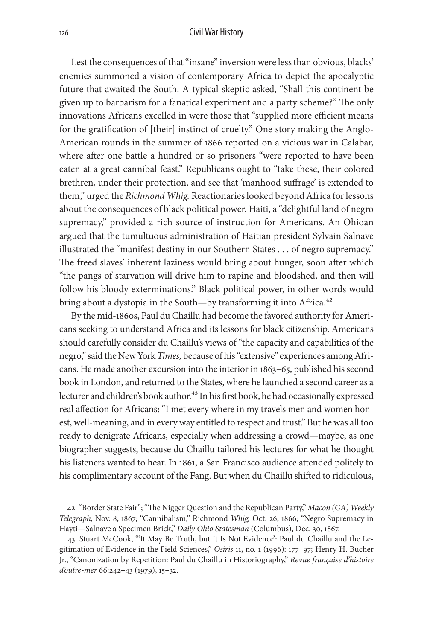Lest the consequences of that "insane" inversion were less than obvious, blacks' enemies summoned a vision of contemporary Africa to depict the apocalyptic future that awaited the South. A typical skeptic asked, "Shall this continent be given up to barbarism for a fanatical experiment and a party scheme?" The only innovations Africans excelled in were those that "supplied more efficient means for the gratification of [their] instinct of cruelty." One story making the Anglo-American rounds in the summer of 1866 reported on a vicious war in Calabar, where after one battle a hundred or so prisoners "were reported to have been eaten at a great cannibal feast." Republicans ought to "take these, their colored brethren, under their protection, and see that 'manhood suffrage' is extended to them," urged the *Richmond Whig.* Reactionaries looked beyond Africa for lessons about the consequences of black political power. Haiti, a "delightful land of negro supremacy," provided a rich source of instruction for Americans. An Ohioan argued that the tumultuous administration of Haitian president Sylvain Salnave illustrated the "manifest destiny in our Southern States . . . of negro supremacy." The freed slaves' inherent laziness would bring about hunger, soon after which "the pangs of starvation will drive him to rapine and bloodshed, and then will follow his bloody exterminations." Black political power, in other words would bring about a dystopia in the South—by transforming it into Africa.<sup>42</sup>

By the mid-1860s, Paul du Chaillu had become the favored authority for Americans seeking to understand Africa and its lessons for black citizenship. Americans should carefully consider du Chaillu's views of "the capacity and capabilities of the negro," said the New York *Times,* because of his "extensive" experiences among Africans. He made another excursion into the interior in 1863–65, published his second book in London, and returned to the States, where he launched a second career as a lecturer and children's book author.<sup>43</sup> In his first book, he had occasionally expressed real affection for Africans**:** "I met every where in my travels men and women honest, well-meaning, and in every way entitled to respect and trust." But he was all too ready to denigrate Africans, especially when addressing a crowd—maybe, as one biographer suggests, because du Chaillu tailored his lectures for what he thought his listeners wanted to hear. In 1861, a San Francisco audience attended politely to his complimentary account of the Fang. But when du Chaillu shifted to ridiculous,

42. "Border State Fair"; "The Nigger Question and the Republican Party," *Macon (GA) Weekly Telegraph,* Nov. 8, 1867; "Cannibalism," Richmond *Whig,* Oct. 26, 1866; "Negro Supremacy in Hayti—Salnave a Specimen Brick," *Daily Ohio Statesman* (Columbus), Dec. 30, 1867.

43. Stuart McCook, "'It May Be Truth, but It Is Not Evidence': Paul du Chaillu and the Legitimation of Evidence in the Field Sciences," *Osiris* 11, no. 1 (1996): 177–97; Henry H. Bucher Jr., "Canonization by Repetition: Paul du Chaillu in Historiography," *Revue française d'histoire d'outre-mer* 66:242–43 (1979), 15–32.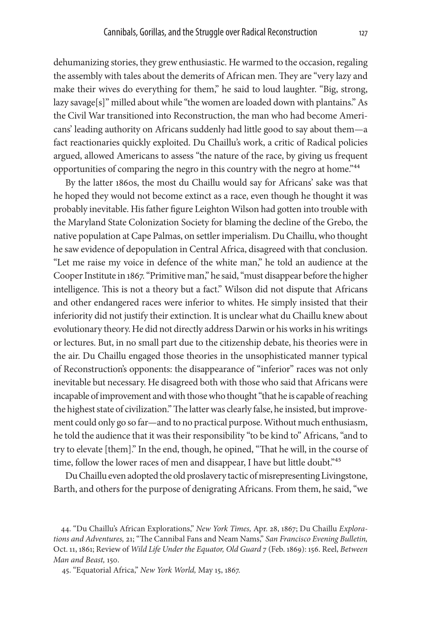dehumanizing stories, they grew enthusiastic. He warmed to the occasion, regaling the assembly with tales about the demerits of African men. They are "very lazy and make their wives do everything for them," he said to loud laughter. "Big, strong, lazy savage[s]" milled about while "the women are loaded down with plantains." As the Civil War transitioned into Reconstruction, the man who had become Americans' leading authority on Africans suddenly had little good to say about them—a fact reactionaries quickly exploited. Du Chaillu's work, a critic of Radical policies argued, allowed Americans to assess "the nature of the race, by giving us frequent opportunities of comparing the negro in this country with the negro at home."44

By the latter 1860s, the most du Chaillu would say for Africans' sake was that he hoped they would not become extinct as a race, even though he thought it was probably inevitable. His father figure Leighton Wilson had gotten into trouble with the Maryland State Colonization Society for blaming the decline of the Grebo, the native population at Cape Palmas, on settler imperialism. Du Chaillu, who thought he saw evidence of depopulation in Central Africa, disagreed with that conclusion. "Let me raise my voice in defence of the white man," he told an audience at the Cooper Institute in 1867. "Primitive man," he said, "must disappear before the higher intelligence. This is not a theory but a fact." Wilson did not dispute that Africans and other endangered races were inferior to whites. He simply insisted that their inferiority did not justify their extinction. It is unclear what du Chaillu knew about evolutionary theory. He did not directly address Darwin or his works in his writings or lectures. But, in no small part due to the citizenship debate, his theories were in the air. Du Chaillu engaged those theories in the unsophisticated manner typical of Reconstruction's opponents: the disappearance of "inferior" races was not only inevitable but necessary. He disagreed both with those who said that Africans were incapable of improvement and with those who thought "that he is capable of reaching the highest state of civilization." The latter was clearly false, he insisted, but improvement could only go so far—and to no practical purpose. Without much enthusiasm, he told the audience that it was their responsibility "to be kind to" Africans, "and to try to elevate [them]." In the end, though, he opined, "That he will, in the course of time, follow the lower races of men and disappear, I have but little doubt."<sup>45</sup>

Du Chaillu even adopted the old proslavery tactic of misrepresenting Livingstone, Barth, and others for the purpose of denigrating Africans. From them, he said, "we

<sup>44. &</sup>quot;Du Chaillu's African Explorations," *New York Times,* Apr. 28, 1867; Du Chaillu *Explorations and Adventures,* 21; "The Cannibal Fans and Neam Nams," *San Francisco Evening Bulletin,* Oct. 11, 1861; Review of *Wild Life Under the Equator, Old Guard* 7 (Feb. 1869): 156. Reel, *Between Man and Beast,* 150.

<sup>45. &</sup>quot;Equatorial Africa," *New York World,* May 15, 1867.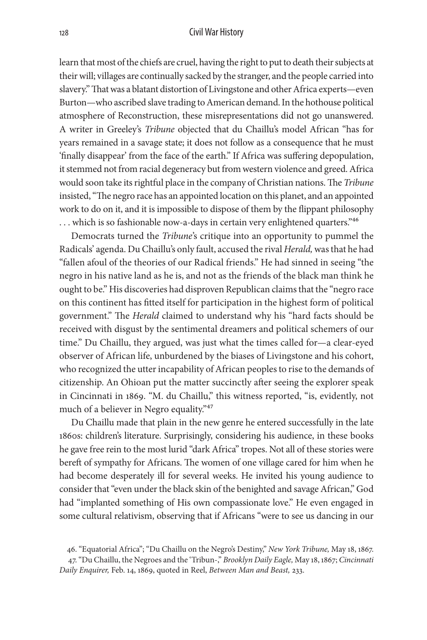learn that most of the chiefs are cruel, having the right to put to death their subjects at their will; villages are continually sacked by the stranger, and the people carried into slavery." That was a blatant distortion of Livingstone and other Africa experts—even Burton—who ascribed slave trading to American demand. In the hothouse political atmosphere of Reconstruction, these misrepresentations did not go unanswered. A writer in Greeley's *Tribune* objected that du Chaillu's model African "has for years remained in a savage state; it does not follow as a consequence that he must 'finally disappear' from the face of the earth." If Africa was suffering depopulation, it stemmed not from racial degeneracy but from western violence and greed. Africa would soon take its rightful place in the company of Christian nations. The *Tribune* insisted, "The negro race has an appointed location on this planet, and an appointed work to do on it, and it is impossible to dispose of them by the flippant philosophy ... which is so fashionable now-a-days in certain very enlightened quarters."<sup>46</sup>

Democrats turned the *Tribune*'s critique into an opportunity to pummel the Radicals' agenda. Du Chaillu's only fault, accused the rival *Herald,* was that he had "fallen afoul of the theories of our Radical friends." He had sinned in seeing "the negro in his native land as he is, and not as the friends of the black man think he ought to be." His discoveries had disproven Republican claims that the "negro race on this continent has fitted itself for participation in the highest form of political government." The *Herald* claimed to understand why his "hard facts should be received with disgust by the sentimental dreamers and political schemers of our time." Du Chaillu, they argued, was just what the times called for—a clear-eyed observer of African life, unburdened by the biases of Livingstone and his cohort, who recognized the utter incapability of African peoples to rise to the demands of citizenship. An Ohioan put the matter succinctly after seeing the explorer speak in Cincinnati in 1869. "M. du Chaillu," this witness reported, "is, evidently, not much of a believer in Negro equality."<sup>47</sup>

Du Chaillu made that plain in the new genre he entered successfully in the late 1860s: children's literature. Surprisingly, considering his audience, in these books he gave free rein to the most lurid "dark Africa" tropes. Not all of these stories were bereft of sympathy for Africans. The women of one village cared for him when he had become desperately ill for several weeks. He invited his young audience to consider that "even under the black skin of the benighted and savage African," God had "implanted something of His own compassionate love." He even engaged in some cultural relativism, observing that if Africans "were to see us dancing in our

<sup>46. &</sup>quot;Equatorial Africa"; "Du Chaillu on the Negro's Destiny," *New York Tribune,* May 18, 1867.

<sup>47. &</sup>quot;Du Chaillu, the Negroes and the 'Tribun-," *Brooklyn Daily Eagle,* May 18, 1867; *Cincinnati Daily Enquirer,* Feb. 14, 1869, quoted in Reel, *Between Man and Beast,* 233.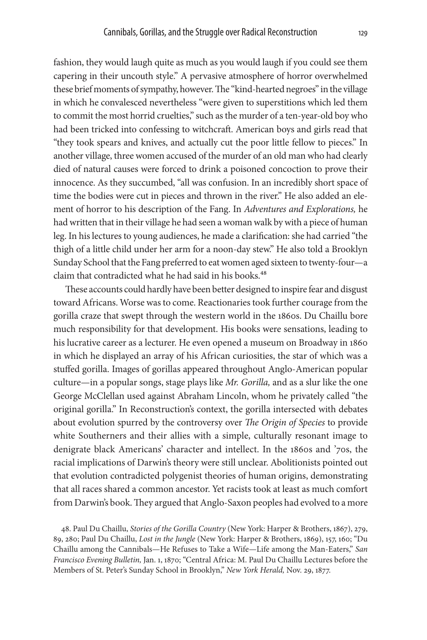fashion, they would laugh quite as much as you would laugh if you could see them capering in their uncouth style." A pervasive atmosphere of horror overwhelmed these brief moments of sympathy, however. The "kind-hearted negroes" in the village in which he convalesced nevertheless "were given to superstitions which led them to commit the most horrid cruelties," such as the murder of a ten-year-old boy who had been tricked into confessing to witchcraft. American boys and girls read that "they took spears and knives, and actually cut the poor little fellow to pieces." In another village, three women accused of the murder of an old man who had clearly died of natural causes were forced to drink a poisoned concoction to prove their innocence. As they succumbed, "all was confusion. In an incredibly short space of time the bodies were cut in pieces and thrown in the river." He also added an element of horror to his description of the Fang. In *Adventures and Explorations,* he had written that in their village he had seen a woman walk by with a piece of human leg. In his lectures to young audiences, he made a clarification: she had carried "the thigh of a little child under her arm for a noon-day stew." He also told a Brooklyn Sunday School that the Fang preferred to eat women aged sixteen to twenty-four—a claim that contradicted what he had said in his books.<sup>48</sup>

These accounts could hardly have been better designed to inspire fear and disgust toward Africans. Worse was to come. Reactionaries took further courage from the gorilla craze that swept through the western world in the 1860s. Du Chaillu bore much responsibility for that development. His books were sensations, leading to his lucrative career as a lecturer. He even opened a museum on Broadway in 1860 in which he displayed an array of his African curiosities, the star of which was a stuffed gorilla. Images of gorillas appeared throughout Anglo-American popular culture—in a popular songs, stage plays like *Mr. Gorilla,* and as a slur like the one George McClellan used against Abraham Lincoln, whom he privately called "the original gorilla." In Reconstruction's context, the gorilla intersected with debates about evolution spurred by the controversy over *The Origin of Species* to provide white Southerners and their allies with a simple, culturally resonant image to denigrate black Americans' character and intellect. In the 1860s and '70s, the racial implications of Darwin's theory were still unclear. Abolitionists pointed out that evolution contradicted polygenist theories of human origins, demonstrating that all races shared a common ancestor. Yet racists took at least as much comfort from Darwin's book. They argued that Anglo-Saxon peoples had evolved to a more

48. Paul Du Chaillu, *Stories of the Gorilla Country* (New York: Harper & Brothers, 1867), 279, 89, 280; Paul Du Chaillu, *Lost in the Jungle* (New York: Harper & Brothers, 1869), 157, 160; "Du Chaillu among the Cannibals—He Refuses to Take a Wife—Life among the Man-Eaters," *San Francisco Evening Bulletin,* Jan. 1, 1870; "Central Africa: M. Paul Du Chaillu Lectures before the Members of St. Peter's Sunday School in Brooklyn," *New York Herald,* Nov. 29, 1877.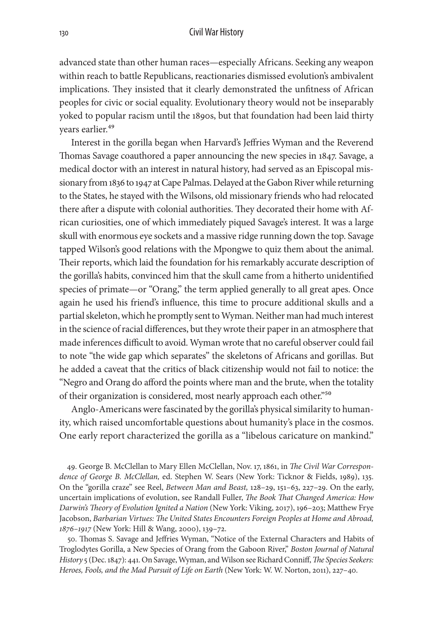advanced state than other human races—especially Africans. Seeking any weapon within reach to battle Republicans, reactionaries dismissed evolution's ambivalent implications. They insisted that it clearly demonstrated the unfitness of African peoples for civic or social equality. Evolutionary theory would not be inseparably yoked to popular racism until the 1890s, but that foundation had been laid thirty years earlier.<sup>49</sup>

Interest in the gorilla began when Harvard's Jeffries Wyman and the Reverend Thomas Savage coauthored a paper announcing the new species in 1847. Savage, a medical doctor with an interest in natural history, had served as an Episcopal missionary from 1836 to 1947 at Cape Palmas. Delayed at the Gabon River while returning to the States, he stayed with the Wilsons, old missionary friends who had relocated there after a dispute with colonial authorities. They decorated their home with African curiosities, one of which immediately piqued Savage's interest. It was a large skull with enormous eye sockets and a massive ridge running down the top. Savage tapped Wilson's good relations with the Mpongwe to quiz them about the animal. Their reports, which laid the foundation for his remarkably accurate description of the gorilla's habits, convinced him that the skull came from a hitherto unidentified species of primate—or "Orang," the term applied generally to all great apes. Once again he used his friend's influence, this time to procure additional skulls and a partial skeleton, which he promptly sent to Wyman. Neither man had much interest in the science of racial differences, but they wrote their paper in an atmosphere that made inferences difficult to avoid. Wyman wrote that no careful observer could fail to note "the wide gap which separates" the skeletons of Africans and gorillas. But he added a caveat that the critics of black citizenship would not fail to notice: the "Negro and Orang do afford the points where man and the brute, when the totality of their organization is considered, most nearly approach each other."50

Anglo-Americans were fascinated by the gorilla's physical similarity to humanity, which raised uncomfortable questions about humanity's place in the cosmos. One early report characterized the gorilla as a "libelous caricature on mankind."

49. George B. McClellan to Mary Ellen McClellan, Nov. 17, 1861, in *The Civil War Correspondence of George B. McClellan,* ed. Stephen W. Sears (New York: Ticknor & Fields, 1989), 135. On the "gorilla craze" see Reel, *Between Man and Beast,* 128–29, 151–63, 227–29. On the early, uncertain implications of evolution, see Randall Fuller, *The Book That Changed America: How Darwin's Theory of Evolution Ignited a Nation* (New York: Viking, 2017), 196–203; Matthew Frye Jacobson, *Barbarian Virtues: The United States Encounters Foreign Peoples at Home and Abroad, 1876–1917* (New York: Hill & Wang, 2000), 139–72.

50. Thomas S. Savage and Jeffries Wyman, "Notice of the External Characters and Habits of Troglodytes Gorilla, a New Species of Orang from the Gaboon River," *Boston Journal of Natural History* 5 (Dec. 1847): 441. On Savage, Wyman, and Wilson see Richard Conniff, *The Species Seekers: Heroes, Fools, and the Mad Pursuit of Life on Earth* (New York: W. W. Norton, 2011), 227–40.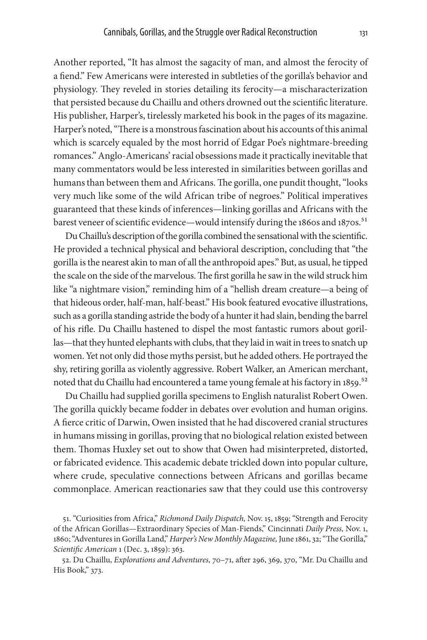Another reported, "It has almost the sagacity of man, and almost the ferocity of a fiend." Few Americans were interested in subtleties of the gorilla's behavior and physiology. They reveled in stories detailing its ferocity—a mischaracterization that persisted because du Chaillu and others drowned out the scientific literature. His publisher, Harper's, tirelessly marketed his book in the pages of its magazine. Harper's noted, "There is a monstrous fascination about his accounts of this animal which is scarcely equaled by the most horrid of Edgar Poe's nightmare-breeding romances." Anglo-Americans' racial obsessions made it practically inevitable that many commentators would be less interested in similarities between gorillas and humans than between them and Africans. The gorilla, one pundit thought, "looks very much like some of the wild African tribe of negroes." Political imperatives guaranteed that these kinds of inferences—linking gorillas and Africans with the barest veneer of scientific evidence—would intensify during the 1860s and 1870s.<sup>51</sup>

Du Chaillu's description of the gorilla combined the sensational with the scientific. He provided a technical physical and behavioral description, concluding that "the gorilla is the nearest akin to man of all the anthropoid apes." But, as usual, he tipped the scale on the side of the marvelous. The first gorilla he saw in the wild struck him like "a nightmare vision," reminding him of a "hellish dream creature—a being of that hideous order, half-man, half-beast." His book featured evocative illustrations, such as a gorilla standing astride the body of a hunter it had slain, bending the barrel of his rifle. Du Chaillu hastened to dispel the most fantastic rumors about gorillas—that they hunted elephants with clubs, that they laid in wait in trees to snatch up women. Yet not only did those myths persist, but he added others. He portrayed the shy, retiring gorilla as violently aggressive. Robert Walker, an American merchant, noted that du Chaillu had encountered a tame young female at his factory in 1859.<sup>52</sup>

Du Chaillu had supplied gorilla specimens to English naturalist Robert Owen. The gorilla quickly became fodder in debates over evolution and human origins. A fierce critic of Darwin, Owen insisted that he had discovered cranial structures in humans missing in gorillas, proving that no biological relation existed between them. Thomas Huxley set out to show that Owen had misinterpreted, distorted, or fabricated evidence. This academic debate trickled down into popular culture, where crude, speculative connections between Africans and gorillas became commonplace. American reactionaries saw that they could use this controversy

51. "Curiosities from Africa," *Richmond Daily Dispatch,* Nov. 15, 1859; "Strength and Ferocity of the African Gorillas—Extraordinary Species of Man-Fiends," Cincinnati *Daily Press,* Nov. 1, 1860; "Adventures in Gorilla Land," *Harper's New Monthly Magazine,* June 1861, 32; "The Gorilla," *Scientific American* 1 (Dec. 3, 1859): 363.

52. Du Chaillu, *Explorations and Adventures,* 70–71, after 296, 369, 370, "Mr. Du Chaillu and His Book," 373.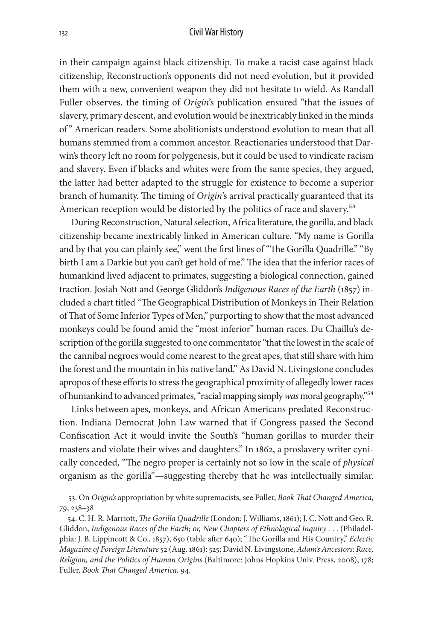in their campaign against black citizenship. To make a racist case against black citizenship, Reconstruction's opponents did not need evolution, but it provided them with a new, convenient weapon they did not hesitate to wield. As Randall Fuller observes, the timing of *Origin*'s publication ensured "that the issues of slavery, primary descent, and evolution would be inextricably linked in the minds of " American readers. Some abolitionists understood evolution to mean that all humans stemmed from a common ancestor. Reactionaries understood that Darwin's theory left no room for polygenesis, but it could be used to vindicate racism and slavery. Even if blacks and whites were from the same species, they argued, the latter had better adapted to the struggle for existence to become a superior branch of humanity. The timing of *Origin*'s arrival practically guaranteed that its American reception would be distorted by the politics of race and slavery.<sup>53</sup>

During Reconstruction, Natural selection, Africa literature, the gorilla, and black citizenship became inextricably linked in American culture. "My name is Gorilla and by that you can plainly see," went the first lines of "The Gorilla Quadrille." "By birth I am a Darkie but you can't get hold of me." The idea that the inferior races of humankind lived adjacent to primates, suggesting a biological connection, gained traction. Josiah Nott and George Gliddon's *Indigenous Races of the Earth* (1857) included a chart titled "The Geographical Distribution of Monkeys in Their Relation of That of Some Inferior Types of Men," purporting to show that the most advanced monkeys could be found amid the "most inferior" human races. Du Chaillu's description of the gorilla suggested to one commentator "that the lowest in the scale of the cannibal negroes would come nearest to the great apes, that still share with him the forest and the mountain in his native land." As David N. Livingstone concludes apropos of these efforts to stress the geographical proximity of allegedly lower races of humankind to advanced primates, "racial mapping simply *was* moral geography."54

Links between apes, monkeys, and African Americans predated Reconstruction. Indiana Democrat John Law warned that if Congress passed the Second Confiscation Act it would invite the South's "human gorillas to murder their masters and violate their wives and daughters." In 1862, a proslavery writer cynically conceded, "The negro proper is certainly not so low in the scale of *physical* organism as the gorilla"—suggesting thereby that he was intellectually similar.

53. On *Origin's* appropriation by white supremacists, see Fuller, *Book That Changed America,* 79, 238–38

54. C. H. R. Marriott, *The Gorilla Quadrille* (London: J. Williams, 1861); J. C. Nott and Geo. R. Gliddon, *Indigenous Races of the Earth; or, New Chapters of Ethnological Inquiry .* . . (Philadelphia: J. B. Lippincott & Co., 1857), 650 (table after 640); "The Gorilla and His Country," *Eclectic Magazine of Foreign Literature* 52 (Aug. 1861): 525; David N. Livingstone, *Adam's Ancestors: Race, Religion, and the Politics of Human Origins* (Baltimore: Johns Hopkins Univ. Press, 2008), 178; Fuller, *Book That Changed America,* 94.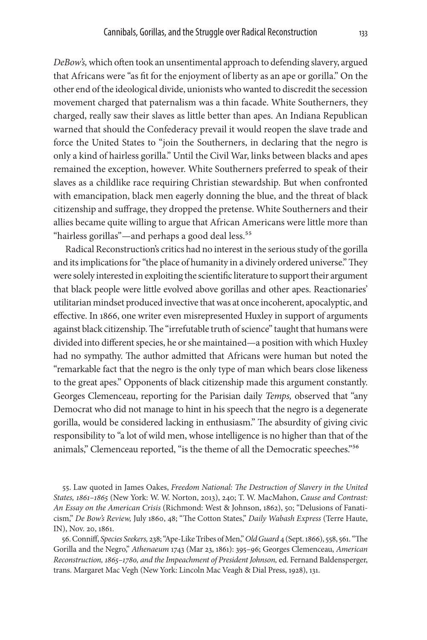*DeBow's,* which often took an unsentimental approach to defending slavery, argued that Africans were "as fit for the enjoyment of liberty as an ape or gorilla." On the other end of the ideological divide, unionists who wanted to discredit the secession movement charged that paternalism was a thin facade. White Southerners, they charged, really saw their slaves as little better than apes. An Indiana Republican warned that should the Confederacy prevail it would reopen the slave trade and force the United States to "join the Southerners, in declaring that the negro is only a kind of hairless gorilla." Until the Civil War, links between blacks and apes remained the exception, however. White Southerners preferred to speak of their slaves as a childlike race requiring Christian stewardship. But when confronted with emancipation, black men eagerly donning the blue, and the threat of black citizenship and suffrage, they dropped the pretense. White Southerners and their allies became quite willing to argue that African Americans were little more than "hairless gorillas"—and perhaps a good deal less.55

Radical Reconstruction's critics had no interest in the serious study of the gorilla and its implications for "the place of humanity in a divinely ordered universe." They were solely interested in exploiting the scientific literature to support their argument that black people were little evolved above gorillas and other apes. Reactionaries' utilitarian mindset produced invective that was at once incoherent, apocalyptic, and effective. In 1866, one writer even misrepresented Huxley in support of arguments against black citizenship. The "irrefutable truth of science" taught that humans were divided into different species, he or she maintained—a position with which Huxley had no sympathy. The author admitted that Africans were human but noted the "remarkable fact that the negro is the only type of man which bears close likeness to the great apes." Opponents of black citizenship made this argument constantly. Georges Clemenceau, reporting for the Parisian daily *Temps,* observed that "any Democrat who did not manage to hint in his speech that the negro is a degenerate gorilla, would be considered lacking in enthusiasm." The absurdity of giving civic responsibility to "a lot of wild men, whose intelligence is no higher than that of the animals," Clemenceau reported, "is the theme of all the Democratic speeches."56

55. Law quoted in James Oakes, *Freedom National: The Destruction of Slavery in the United States, 1861–1865* (New York: W. W. Norton, 2013), 240; T. W. MacMahon, *Cause and Contrast: An Essay on the American Crisis* (Richmond: West & Johnson, 1862), 50; "Delusions of Fanaticism," *De Bow's Review,* July 1860, 48; "The Cotton States," *Daily Wabash Express* (Terre Haute, IN), Nov. 20, 1861.

56. Conniff, *Species Seekers,* 238; "Ape-Like Tribes of Men," *Old Guard* 4 (Sept. 1866), 558, 561. "The Gorilla and the Negro," *Athenaeum* 1743 (Mar 23, 1861): 395–96; Georges Clemenceau, *American Reconstruction, 1865–1780, and the Impeachment of President Johnson,* ed. Fernand Baldensperger, trans. Margaret Mac Vegh (New York: Lincoln Mac Veagh & Dial Press, 1928), 131.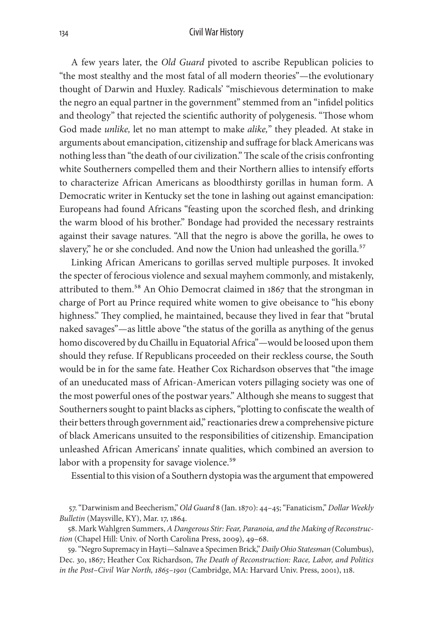A few years later, the *Old Guard* pivoted to ascribe Republican policies to "the most stealthy and the most fatal of all modern theories"—the evolutionary thought of Darwin and Huxley. Radicals' "mischievous determination to make the negro an equal partner in the government" stemmed from an "infidel politics and theology" that rejected the scientific authority of polygenesis. "Those whom God made *unlike,* let no man attempt to make *alike,*" they pleaded. At stake in arguments about emancipation, citizenship and suffrage for black Americans was nothing less than "the death of our civilization." The scale of the crisis confronting white Southerners compelled them and their Northern allies to intensify efforts to characterize African Americans as bloodthirsty gorillas in human form. A Democratic writer in Kentucky set the tone in lashing out against emancipation: Europeans had found Africans "feasting upon the scorched flesh, and drinking the warm blood of his brother." Bondage had provided the necessary restraints against their savage natures. "All that the negro is above the gorilla, he owes to slavery," he or she concluded. And now the Union had unleashed the gorilla.<sup>57</sup>

Linking African Americans to gorillas served multiple purposes. It invoked the specter of ferocious violence and sexual mayhem commonly, and mistakenly, attributed to them.<sup>58</sup> An Ohio Democrat claimed in 1867 that the strongman in charge of Port au Prince required white women to give obeisance to "his ebony highness." They complied, he maintained, because they lived in fear that "brutal naked savages"—as little above "the status of the gorilla as anything of the genus homo discovered by du Chaillu in Equatorial Africa"—would be loosed upon them should they refuse. If Republicans proceeded on their reckless course, the South would be in for the same fate. Heather Cox Richardson observes that "the image of an uneducated mass of African-American voters pillaging society was one of the most powerful ones of the postwar years." Although she means to suggest that Southerners sought to paint blacks as ciphers, "plotting to confiscate the wealth of their betters through government aid," reactionaries drew a comprehensive picture of black Americans unsuited to the responsibilities of citizenship. Emancipation unleashed African Americans' innate qualities, which combined an aversion to labor with a propensity for savage violence.<sup>59</sup>

Essential to this vision of a Southern dystopia was the argument that empowered

<sup>57. &</sup>quot;Darwinism and Beecherism," *Old Guard* 8 (Jan. 1870): 44–45; "Fanaticism," *Dollar Weekly Bulletin* (Maysville, KY), Mar. 17, 1864.

<sup>58.</sup> Mark Wahlgren Summers, *A Dangerous Stir: Fear, Paranoia, and the Making of Reconstruction* (Chapel Hill: Univ. of North Carolina Press, 2009), 49–68.

<sup>59. &</sup>quot;Negro Supremacy in Hayti—Salnave a Specimen Brick," *Daily Ohio Statesman* (Columbus), Dec. 30, 1867; Heather Cox Richardson, *The Death of Reconstruction: Race, Labor, and Politics in the Post–Civil War North, 1865–1901* (Cambridge, MA: Harvard Univ. Press, 2001), 118.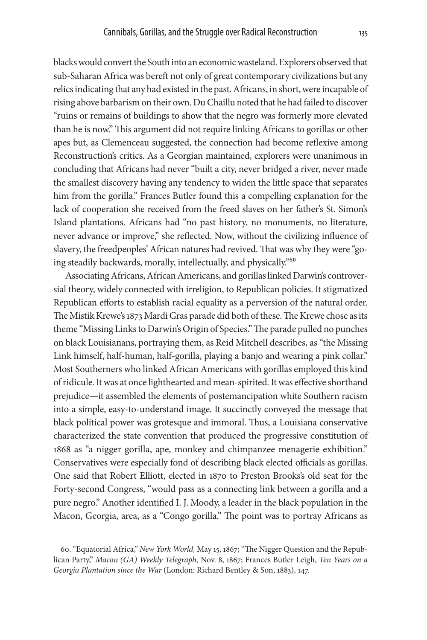blacks would convert the South into an economic wasteland. Explorers observed that sub-Saharan Africa was bereft not only of great contemporary civilizations but any relics indicating that any had existed in the past. Africans, in short, were incapable of rising above barbarism on their own. Du Chaillu noted that he had failed to discover "ruins or remains of buildings to show that the negro was formerly more elevated than he is now." This argument did not require linking Africans to gorillas or other apes but, as Clemenceau suggested, the connection had become reflexive among Reconstruction's critics. As a Georgian maintained, explorers were unanimous in concluding that Africans had never "built a city, never bridged a river, never made the smallest discovery having any tendency to widen the little space that separates him from the gorilla." Frances Butler found this a compelling explanation for the lack of cooperation she received from the freed slaves on her father's St. Simon's Island plantations. Africans had "no past history, no monuments, no literature, never advance or improve," she reflected. Now, without the civilizing influence of slavery, the freedpeoples' African natures had revived. That was why they were "going steadily backwards, morally, intellectually, and physically."60

Associating Africans, African Americans, and gorillas linked Darwin's controversial theory, widely connected with irreligion, to Republican policies. It stigmatized Republican efforts to establish racial equality as a perversion of the natural order. The Mistik Krewe's 1873 Mardi Gras parade did both of these. The Krewe chose as its theme "Missing Links to Darwin's Origin of Species." The parade pulled no punches on black Louisianans, portraying them, as Reid Mitchell describes, as "the Missing Link himself, half-human, half-gorilla, playing a banjo and wearing a pink collar." Most Southerners who linked African Americans with gorillas employed this kind of ridicule. It was at once lighthearted and mean-spirited. It was effective shorthand prejudice—it assembled the elements of postemancipation white Southern racism into a simple, easy-to-understand image. It succinctly conveyed the message that black political power was grotesque and immoral. Thus, a Louisiana conservative characterized the state convention that produced the progressive constitution of 1868 as "a nigger gorilla, ape, monkey and chimpanzee menagerie exhibition." Conservatives were especially fond of describing black elected officials as gorillas. One said that Robert Elliott, elected in 1870 to Preston Brooks's old seat for the Forty-second Congress, "would pass as a connecting link between a gorilla and a pure negro." Another identified I. J. Moody, a leader in the black population in the Macon, Georgia, area, as a "Congo gorilla." The point was to portray Africans as

<sup>60. &</sup>quot;Equatorial Africa," *New York World,* May 15, 1867; "The Nigger Question and the Republican Party," *Macon (GA) Weekly Telegraph,* Nov. 8, 1867; Frances Butler Leigh, *Ten Years on a Georgia Plantation since the War* (London: Richard Bentley & Son, 1883), 147.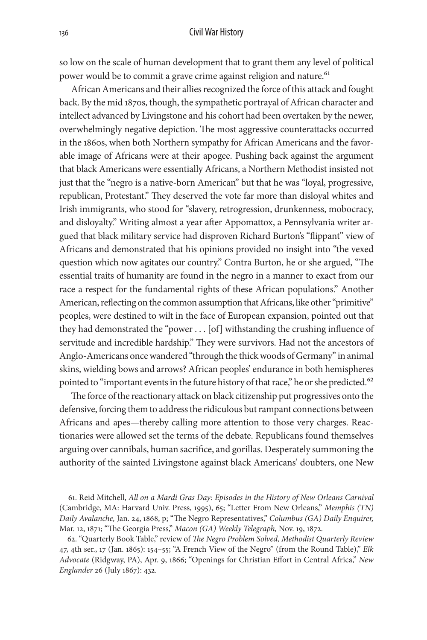so low on the scale of human development that to grant them any level of political power would be to commit a grave crime against religion and nature.<sup>61</sup>

African Americans and their allies recognized the force of this attack and fought back. By the mid 1870s, though, the sympathetic portrayal of African character and intellect advanced by Livingstone and his cohort had been overtaken by the newer, overwhelmingly negative depiction. The most aggressive counterattacks occurred in the 1860s, when both Northern sympathy for African Americans and the favorable image of Africans were at their apogee. Pushing back against the argument that black Americans were essentially Africans, a Northern Methodist insisted not just that the "negro is a native-born American" but that he was "loyal, progressive, republican, Protestant." They deserved the vote far more than disloyal whites and Irish immigrants, who stood for "slavery, retrogression, drunkenness, mobocracy, and disloyalty." Writing almost a year after Appomattox, a Pennsylvania writer argued that black military service had disproven Richard Burton's "flippant" view of Africans and demonstrated that his opinions provided no insight into "the vexed question which now agitates our country." Contra Burton, he or she argued, "The essential traits of humanity are found in the negro in a manner to exact from our race a respect for the fundamental rights of these African populations." Another American, reflecting on the common assumption that Africans, like other "primitive" peoples, were destined to wilt in the face of European expansion, pointed out that they had demonstrated the "power . . . [of] withstanding the crushing influence of servitude and incredible hardship." They were survivors. Had not the ancestors of Anglo-Americans once wandered "through the thick woods of Germany" in animal skins, wielding bows and arrows? African peoples' endurance in both hemispheres pointed to "important events in the future history of that race," he or she predicted.<sup>62</sup>

The force of the reactionary attack on black citizenship put progressives onto the defensive, forcing them to address the ridiculous but rampant connections between Africans and apes—thereby calling more attention to those very charges. Reactionaries were allowed set the terms of the debate. Republicans found themselves arguing over cannibals, human sacrifice, and gorillas. Desperately summoning the authority of the sainted Livingstone against black Americans' doubters, one New

61. Reid Mitchell, *All on a Mardi Gras Day: Episodes in the History of New Orleans Carnival*  (Cambridge, MA: Harvard Univ. Press, 1995), 65; "Letter From New Orleans," *Memphis (TN) Daily Avalanche,* Jan. 24, 1868, p; "The Negro Representatives," *Columbus (GA) Daily Enquirer,* Mar. 12, 1871; "The Georgia Press," *Macon (GA) Weekly Telegraph,* Nov. 19, 1872.

62. "Quarterly Book Table," review of *The Negro Problem Solved, Methodist Quarterly Review* 47, 4th ser., 17 (Jan. 1865): 154–55; "A French View of the Negro" (from the Round Table)," *Elk Advocate* (Ridgway, PA), Apr. 9, 1866; "Openings for Christian Effort in Central Africa," *New Englander* 26 (July 1867): 432.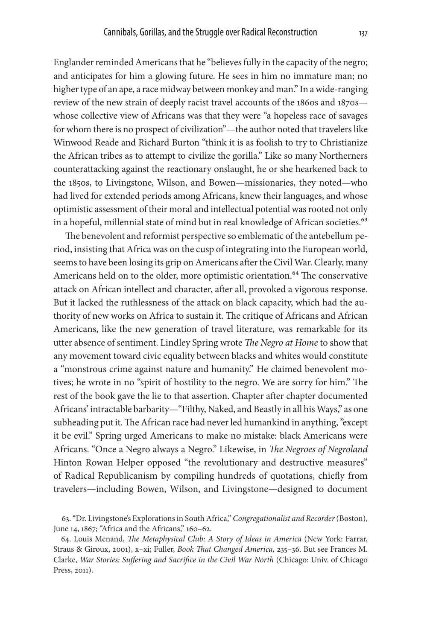Englander reminded Americans that he "believes fully in the capacity of the negro; and anticipates for him a glowing future. He sees in him no immature man; no higher type of an ape, a race midway between monkey and man." In a wide-ranging review of the new strain of deeply racist travel accounts of the 1860s and 1870s whose collective view of Africans was that they were "a hopeless race of savages for whom there is no prospect of civilization"—the author noted that travelers like Winwood Reade and Richard Burton "think it is as foolish to try to Christianize the African tribes as to attempt to civilize the gorilla." Like so many Northerners counterattacking against the reactionary onslaught, he or she hearkened back to the 1850s, to Livingstone, Wilson, and Bowen—missionaries, they noted—who had lived for extended periods among Africans, knew their languages, and whose optimistic assessment of their moral and intellectual potential was rooted not only in a hopeful, millennial state of mind but in real knowledge of African societies.<sup>63</sup>

The benevolent and reformist perspective so emblematic of the antebellum period, insisting that Africa was on the cusp of integrating into the European world, seems to have been losing its grip on Americans after the Civil War. Clearly, many Americans held on to the older, more optimistic orientation.<sup>64</sup> The conservative attack on African intellect and character, after all, provoked a vigorous response. But it lacked the ruthlessness of the attack on black capacity, which had the authority of new works on Africa to sustain it. The critique of Africans and African Americans, like the new generation of travel literature, was remarkable for its utter absence of sentiment. Lindley Spring wrote *The Negro at Home* to show that any movement toward civic equality between blacks and whites would constitute a "monstrous crime against nature and humanity." He claimed benevolent motives; he wrote in no "spirit of hostility to the negro. We are sorry for him." The rest of the book gave the lie to that assertion. Chapter after chapter documented Africans' intractable barbarity—"Filthy, Naked, and Beastly in all his Ways," as one subheading put it. The African race had never led humankind in anything, "except it be evil." Spring urged Americans to make no mistake: black Americans were Africans. "Once a Negro always a Negro." Likewise, in *The Negroes of Negroland* Hinton Rowan Helper opposed "the revolutionary and destructive measures" of Radical Republicanism by compiling hundreds of quotations, chiefly from travelers—including Bowen, Wilson, and Livingstone—designed to document

<sup>63. &</sup>quot;Dr. Livingstone's Explorations in South Africa," *Congregationalist and Recorder* (Boston), June 14, 1867; "Africa and the Africans," 160-62.

<sup>64.</sup> Louis Menand, *The Metaphysical Club: A Story of Ideas in America* (New York: Farrar, Straus & Giroux, 2001), x–xi; Fuller, *Book That Changed America,* 235–36. But see Frances M. Clarke, *War Stories: Suffering and Sacrifice in the Civil War North* (Chicago: Univ. of Chicago Press, 2011).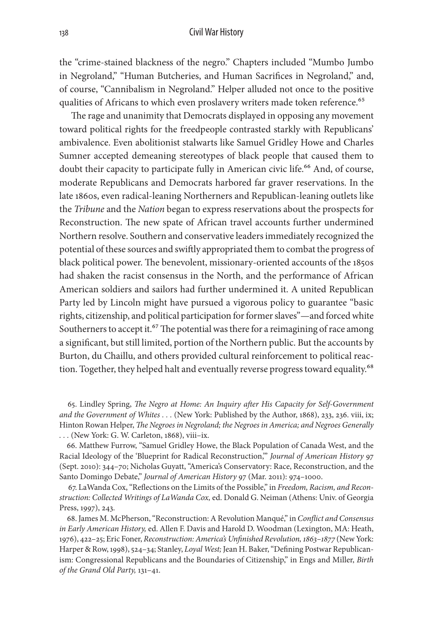the "crime-stained blackness of the negro." Chapters included "Mumbo Jumbo in Negroland," "Human Butcheries, and Human Sacrifices in Negroland," and, of course, "Cannibalism in Negroland." Helper alluded not once to the positive qualities of Africans to which even proslavery writers made token reference.<sup>65</sup>

The rage and unanimity that Democrats displayed in opposing any movement toward political rights for the freedpeople contrasted starkly with Republicans' ambivalence. Even abolitionist stalwarts like Samuel Gridley Howe and Charles Sumner accepted demeaning stereotypes of black people that caused them to doubt their capacity to participate fully in American civic life.<sup>66</sup> And, of course, moderate Republicans and Democrats harbored far graver reservations. In the late 1860s, even radical-leaning Northerners and Republican-leaning outlets like the *Tribune* and the *Nation* began to express reservations about the prospects for Reconstruction. The new spate of African travel accounts further undermined Northern resolve. Southern and conservative leaders immediately recognized the potential of these sources and swiftly appropriated them to combat the progress of black political power. The benevolent, missionary-oriented accounts of the 1850s had shaken the racist consensus in the North, and the performance of African American soldiers and sailors had further undermined it. A united Republican Party led by Lincoln might have pursued a vigorous policy to guarantee "basic rights, citizenship, and political participation for former slaves"—and forced white Southerners to accept it.<sup>67</sup> The potential was there for a reimagining of race among a significant, but still limited, portion of the Northern public. But the accounts by Burton, du Chaillu, and others provided cultural reinforcement to political reaction. Together, they helped halt and eventually reverse progress toward equality.<sup>68</sup>

65. Lindley Spring, *The Negro at Home: An Inquiry after His Capacity for Self-Government and the Government of Whites . . .* (New York: Published by the Author, 1868), 233, 236. viii, ix; Hinton Rowan Helper, *The Negroes in Negroland; the Negroes in America; and Negroes Generally . . .* (New York: G. W. Carleton, 1868), viii–ix.

66. Matthew Furrow, "Samuel Gridley Howe, the Black Population of Canada West, and the Racial Ideology of the 'Blueprint for Radical Reconstruction,'" *Journal of American History* 97 (Sept. 2010): 344–70; Nicholas Guyatt, "America's Conservatory: Race, Reconstruction, and the Santo Domingo Debate," *Journal of American History* 97 (Mar. 2011): 974–1000.

67. LaWanda Cox, "Reflections on the Limits of the Possible," in *Freedom, Racism, and Reconstruction: Collected Writings of LaWanda Cox,* ed. Donald G. Neiman (Athens: Univ. of Georgia Press, 1997), 243.

68. James M. McPherson, "Reconstruction: A Revolution Manqué," in *Conflict and Consensus in Early American History,* ed. Allen F. Davis and Harold D. Woodman (Lexington, MA: Heath, 1976), 422–25; Eric Foner, *Reconstruction: America's Unfinished Revolution, 1863–1877* (New York: Harper & Row, 1998), 524–34; Stanley, *Loyal West;* Jean H. Baker, "Defining Postwar Republicanism: Congressional Republicans and the Boundaries of Citizenship," in Engs and Miller, *Birth of the Grand Old Party,* 131–41.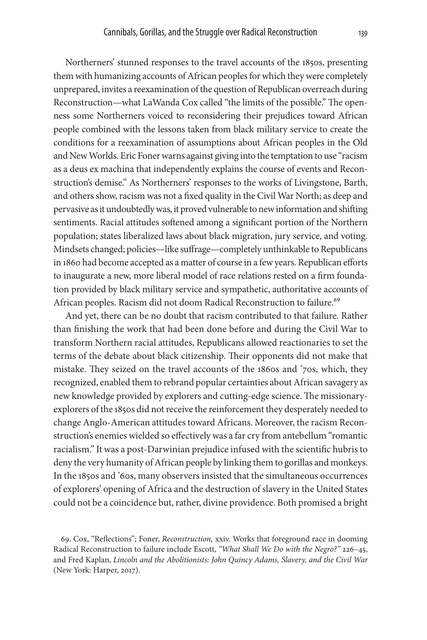Northerners' stunned responses to the travel accounts of the 1850s, presenting them with humanizing accounts of African peoples for which they were completely unprepared, invites a reexamination of the question of Republican overreach during Reconstruction—what LaWanda Cox called "the limits of the possible." The openness some Northerners voiced to reconsidering their prejudices toward African people combined with the lessons taken from black military service to create the conditions for a reexamination of assumptions about African peoples in the Old and New Worlds. Eric Foner warns against giving into the temptation to use "racism as a deus ex machina that independently explains the course of events and Reconstruction's demise." As Northerners' responses to the works of Livingstone, Barth, and others show, racism was not a fixed quality in the Civil War North; as deep and pervasive as it undoubtedly was, it proved vulnerable to new information and shifting sentiments. Racial attitudes softened among a significant portion of the Northern population; states liberalized laws about black migration, jury service, and voting. Mindsets changed; policies—like suffrage—completely unthinkable to Republicans in 1860 had become accepted as a matter of course in a few years. Republican efforts to inaugurate a new, more liberal model of race relations rested on a firm foundation provided by black military service and sympathetic, authoritative accounts of African peoples. Racism did not doom Radical Reconstruction to failure.<sup>69</sup>

And yet, there can be no doubt that racism contributed to that failure. Rather than finishing the work that had been done before and during the Civil War to transform Northern racial attitudes, Republicans allowed reactionaries to set the terms of the debate about black citizenship. Their opponents did not make that mistake. They seized on the travel accounts of the 1860s and '70s, which, they recognized, enabled them to rebrand popular certainties about African savagery as new knowledge provided by explorers and cutting-edge science. The missionaryexplorers of the 1850s did not receive the reinforcement they desperately needed to change Anglo-American attitudes toward Africans. Moreover, the racism Reconstruction's enemies wielded so effectively was a far cry from antebellum "romantic racialism." It was a post-Darwinian prejudice infused with the scientific hubris to deny the very humanity of African people by linking them to gorillas and monkeys. In the 1850s and '60s, many observers insisted that the simultaneous occurrences of explorers' opening of Africa and the destruction of slavery in the United States could not be a coincidence but, rather, divine providence. Both promised a bright

<sup>69.</sup> Cox, "Reflections"; Foner, *Reconstruction,* xxiv. Works that foreground race in dooming Radical Reconstruction to failure include Escott, *"What Shall We Do with the Negro?"* 226–45, and Fred Kaplan, *Lincoln and the Abolitionists: John Quincy Adams, Slavery, and the Civil War* (New York: Harper, 2017).